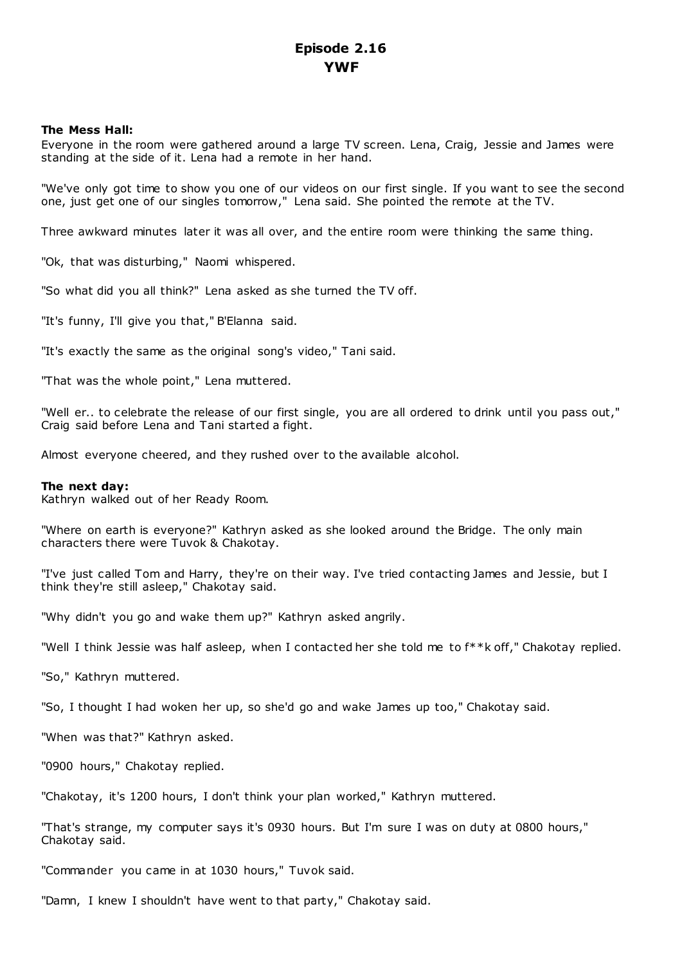# **The Mess Hall:**

Everyone in the room were gathered around a large TV screen. Lena, Craig, Jessie and James were standing at the side of it. Lena had a remote in her hand.

"We've only got time to show you one of our videos on our first single. If you want to see the second one, just get one of our singles tomorrow," Lena said. She pointed the remote at the TV.

Three awkward minutes later it was all over, and the entire room were thinking the same thing.

"Ok, that was disturbing," Naomi whispered.

"So what did you all think?" Lena asked as she turned the TV off.

"It's funny, I'll give you that," B'Elanna said.

"It's exactly the same as the original song's video," Tani said.

"That was the whole point," Lena muttered.

"Well er.. to celebrate the release of our first single, you are all ordered to drink until you pass out," Craig said before Lena and Tani started a fight.

Almost everyone cheered, and they rushed over to the available alcohol.

# **The next day:**

Kathryn walked out of her Ready Room.

"Where on earth is everyone?" Kathryn asked as she looked around the Bridge. The only main characters there were Tuvok & Chakotay.

"I've just called Tom and Harry, they're on their way. I've tried contacting James and Jessie, but I think they're still asleep," Chakotay said.

"Why didn't you go and wake them up?" Kathryn asked angrily.

"Well I think Jessie was half asleep, when I contacted her she told me to f\*\*k off," Chakotay replied.

"So," Kathryn muttered.

"So, I thought I had woken her up, so she'd go and wake James up too," Chakotay said.

"When was that?" Kathryn asked.

"0900 hours," Chakotay replied.

"Chakotay, it's 1200 hours, I don't think your plan worked," Kathryn muttered.

"That's strange, my computer says it's 0930 hours. But I'm sure I was on duty at 0800 hours," Chakotay said.

"Commander you came in at 1030 hours," Tuvok said.

"Damn, I knew I shouldn't have went to that party," Chakotay said.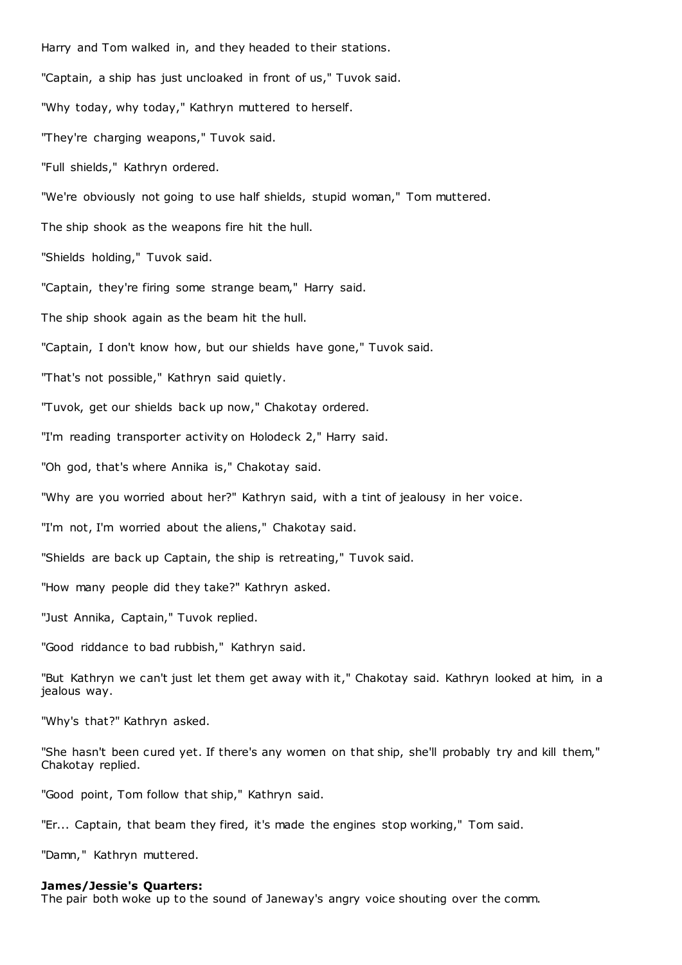Harry and Tom walked in, and they headed to their stations. "Captain, a ship has just uncloaked in front of us," Tuvok said. "Why today, why today," Kathryn muttered to herself. "They're charging weapons," Tuvok said. "Full shields," Kathryn ordered. "We're obviously not going to use half shields, stupid woman," Tom muttered. The ship shook as the weapons fire hit the hull. "Shields holding," Tuvok said. "Captain, they're firing some strange beam," Harry said. The ship shook again as the beam hit the hull. "Captain, I don't know how, but our shields have gone," Tuvok said. "That's not possible," Kathryn said quietly. "Tuvok, get our shields back up now," Chakotay ordered. "I'm reading transporter activity on Holodeck 2," Harry said. "Oh god, that's where Annika is," Chakotay said. "Why are you worried about her?" Kathryn said, with a tint of jealousy in her voice. "I'm not, I'm worried about the aliens," Chakotay said. "Shields are back up Captain, the ship is retreating," Tuvok said. "How many people did they take?" Kathryn asked. "Just Annika, Captain," Tuvok replied. "Good riddance to bad rubbish," Kathryn said. "But Kathryn we can't just let them get away with it," Chakotay said. Kathryn looked at him, in a jealous way. "Why's that?" Kathryn asked.

"She hasn't been cured yet. If there's any women on that ship, she'll probably try and kill them," Chakotay replied.

"Good point, Tom follow that ship," Kathryn said.

"Er... Captain, that beam they fired, it's made the engines stop working," Tom said.

"Damn," Kathryn muttered.

#### **James/Jessie's Quarters:**

The pair both woke up to the sound of Janeway's angry voice shouting over the comm.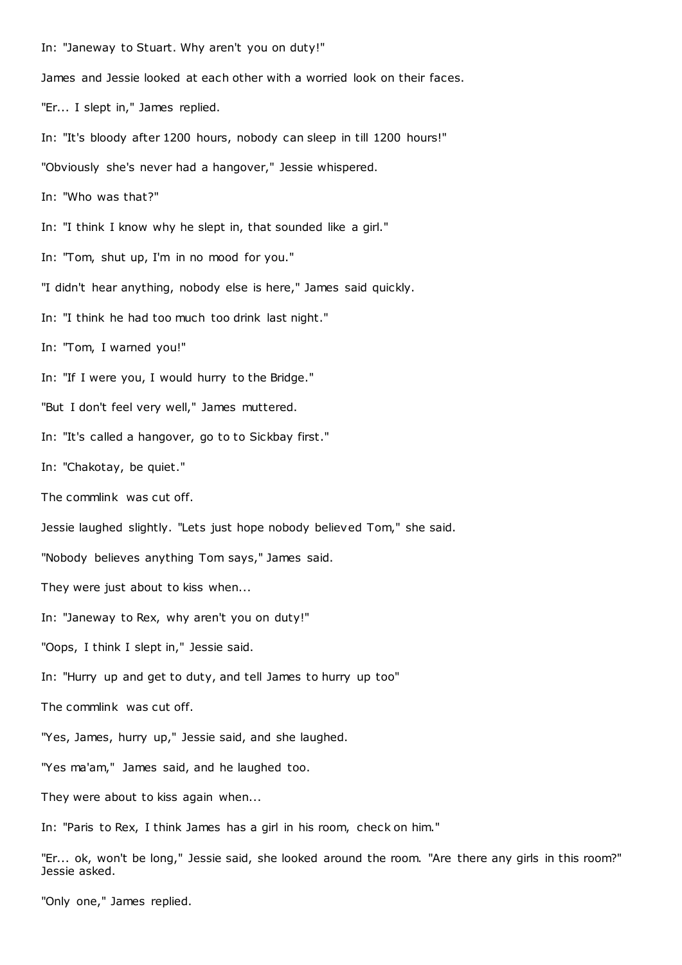In: "Janeway to Stuart. Why aren't you on duty!" James and Jessie looked at each other with a worried look on their faces. "Er... I slept in," James replied. In: "It's bloody after 1200 hours, nobody can sleep in till 1200 hours!" "Obviously she's never had a hangover," Jessie whispered. In: "Who was that?" In: "I think I know why he slept in, that sounded like a girl." In: "Tom, shut up, I'm in no mood for you." "I didn't hear anything, nobody else is here," James said quickly. In: "I think he had too much too drink last night." In: "Tom, I warned you!" In: "If I were you, I would hurry to the Bridge." "But I don't feel very well," James muttered. In: "It's called a hangover, go to to Sickbay first." In: "Chakotay, be quiet." The commlink was cut off. Jessie laughed slightly. "Lets just hope nobody believed Tom," she said. "Nobody believes anything Tom says," James said. They were just about to kiss when... In: "Janeway to Rex, why aren't you on duty!" "Oops, I think I slept in," Jessie said. In: "Hurry up and get to duty, and tell James to hurry up too" The commlink was cut off. "Yes, James, hurry up," Jessie said, and she laughed. "Yes ma'am," James said, and he laughed too. They were about to kiss again when... In: "Paris to Rex, I think James has a girl in his room, check on him."

"Er... ok, won't be long," Jessie said, she looked around the room. "Are there any girls in this room?" Jessie asked.

"Only one," James replied.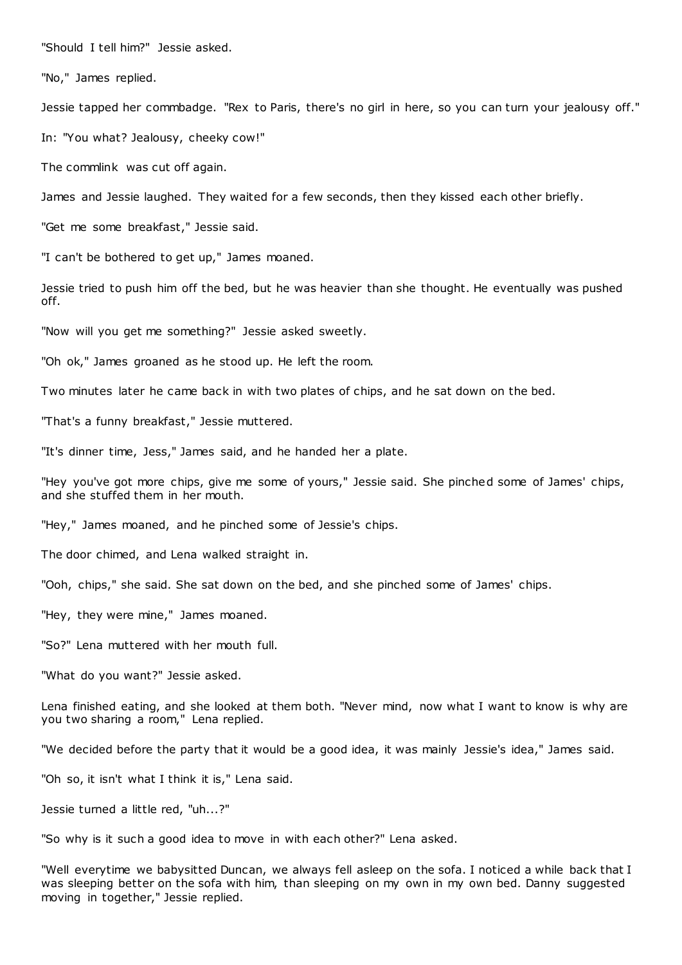"Should I tell him?" Jessie asked.

"No," James replied.

Jessie tapped her commbadge. "Rex to Paris, there's no girl in here, so you can turn your jealousy off."

In: "You what? Jealousy, cheeky cow!"

The commlink was cut off again.

James and Jessie laughed. They waited for a few seconds, then they kissed each other briefly.

"Get me some breakfast," Jessie said.

"I can't be bothered to get up," James moaned.

Jessie tried to push him off the bed, but he was heavier than she thought. He eventually was pushed off.

"Now will you get me something?" Jessie asked sweetly.

"Oh ok," James groaned as he stood up. He left the room.

Two minutes later he came back in with two plates of chips, and he sat down on the bed.

"That's a funny breakfast," Jessie muttered.

"It's dinner time, Jess," James said, and he handed her a plate.

"Hey you've got more chips, give me some of yours," Jessie said. She pinched some of James' chips, and she stuffed them in her mouth.

"Hey," James moaned, and he pinched some of Jessie's chips.

The door chimed, and Lena walked straight in.

"Ooh, chips," she said. She sat down on the bed, and she pinched some of James' chips.

"Hey, they were mine," James moaned.

"So?" Lena muttered with her mouth full.

"What do you want?" Jessie asked.

Lena finished eating, and she looked at them both. "Never mind, now what I want to know is why are you two sharing a room," Lena replied.

"We decided before the party that it would be a good idea, it was mainly Jessie's idea," James said.

"Oh so, it isn't what I think it is," Lena said.

Jessie turned a little red, "uh...?"

"So why is it such a good idea to move in with each other?" Lena asked.

"Well everytime we babysitted Duncan, we always fell asleep on the sofa. I noticed a while back that I was sleeping better on the sofa with him, than sleeping on my own in my own bed. Danny suggested moving in together," Jessie replied.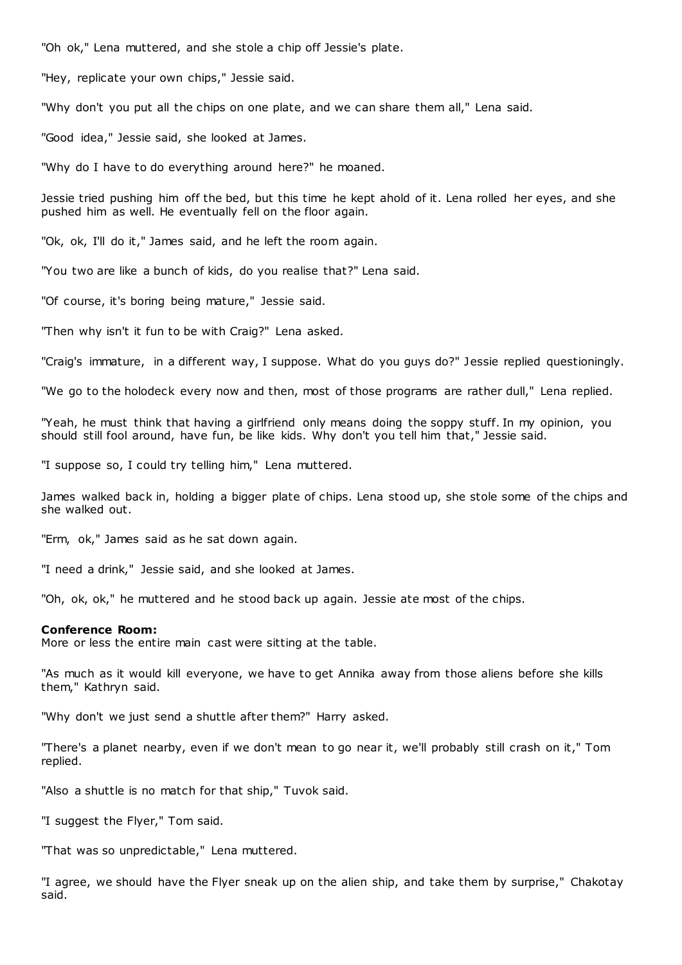"Oh ok," Lena muttered, and she stole a chip off Jessie's plate.

"Hey, replicate your own chips," Jessie said.

"Why don't you put all the chips on one plate, and we can share them all," Lena said.

"Good idea," Jessie said, she looked at James.

"Why do I have to do everything around here?" he moaned.

Jessie tried pushing him off the bed, but this time he kept ahold of it. Lena rolled her eyes, and she pushed him as well. He eventually fell on the floor again.

"Ok, ok, I'll do it," James said, and he left the room again.

"You two are like a bunch of kids, do you realise that?" Lena said.

"Of course, it's boring being mature," Jessie said.

"Then why isn't it fun to be with Craig?" Lena asked.

"Craig's immature, in a different way, I suppose. What do you guys do?" Jessie replied questioningly.

"We go to the holodeck every now and then, most of those programs are rather dull," Lena replied.

"Yeah, he must think that having a girlfriend only means doing the soppy stuff. In my opinion, you should still fool around, have fun, be like kids. Why don't you tell him that," Jessie said.

"I suppose so, I could try telling him," Lena muttered.

James walked back in, holding a bigger plate of chips. Lena stood up, she stole some of the chips and she walked out.

"Erm, ok," James said as he sat down again.

"I need a drink," Jessie said, and she looked at James.

"Oh, ok, ok," he muttered and he stood back up again. Jessie ate most of the chips.

#### **Conference Room:**

More or less the entire main cast were sitting at the table.

"As much as it would kill everyone, we have to get Annika away from those aliens before she kills them," Kathryn said.

"Why don't we just send a shuttle after them?" Harry asked.

"There's a planet nearby, even if we don't mean to go near it, we'll probably still crash on it," Tom replied.

"Also a shuttle is no match for that ship," Tuvok said.

"I suggest the Flyer," Tom said.

"That was so unpredictable," Lena muttered.

"I agree, we should have the Flyer sneak up on the alien ship, and take them by surprise," Chakotay said.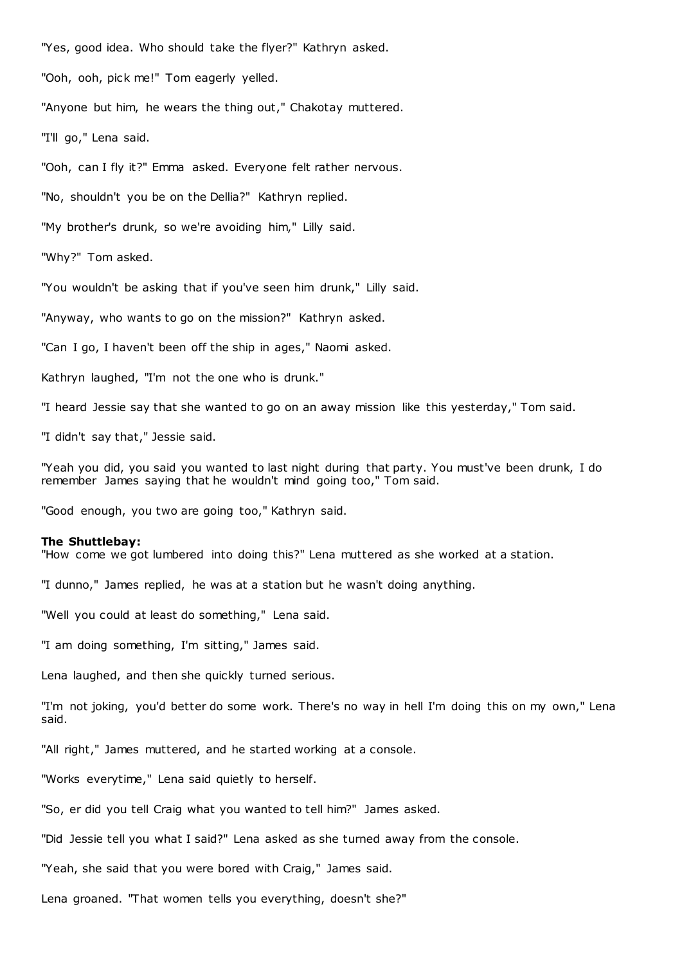"Yes, good idea. Who should take the flyer?" Kathryn asked.

"Ooh, ooh, pick me!" Tom eagerly yelled.

"Anyone but him, he wears the thing out," Chakotay muttered.

"I'll go," Lena said.

"Ooh, can I fly it?" Emma asked. Everyone felt rather nervous.

"No, shouldn't you be on the Dellia?" Kathryn replied.

"My brother's drunk, so we're avoiding him," Lilly said.

"Why?" Tom asked.

"You wouldn't be asking that if you've seen him drunk," Lilly said.

"Anyway, who wants to go on the mission?" Kathryn asked.

"Can I go, I haven't been off the ship in ages," Naomi asked.

Kathryn laughed, "I'm not the one who is drunk."

"I heard Jessie say that she wanted to go on an away mission like this yesterday," Tom said.

"I didn't say that," Jessie said.

"Yeah you did, you said you wanted to last night during that party. You must've been drunk, I do remember James saying that he wouldn't mind going too," Tom said.

"Good enough, you two are going too," Kathryn said.

#### **The Shuttlebay:**

"How come we got lumbered into doing this?" Lena muttered as she worked at a station.

"I dunno," James replied, he was at a station but he wasn't doing anything.

"Well you could at least do something," Lena said.

"I am doing something, I'm sitting," James said.

Lena laughed, and then she quickly turned serious.

"I'm not joking, you'd better do some work. There's no way in hell I'm doing this on my own," Lena said.

"All right," James muttered, and he started working at a console.

"Works everytime," Lena said quietly to herself.

"So, er did you tell Craig what you wanted to tell him?" James asked.

"Did Jessie tell you what I said?" Lena asked as she turned away from the console.

"Yeah, she said that you were bored with Craig," James said.

Lena groaned. "That women tells you everything, doesn't she?"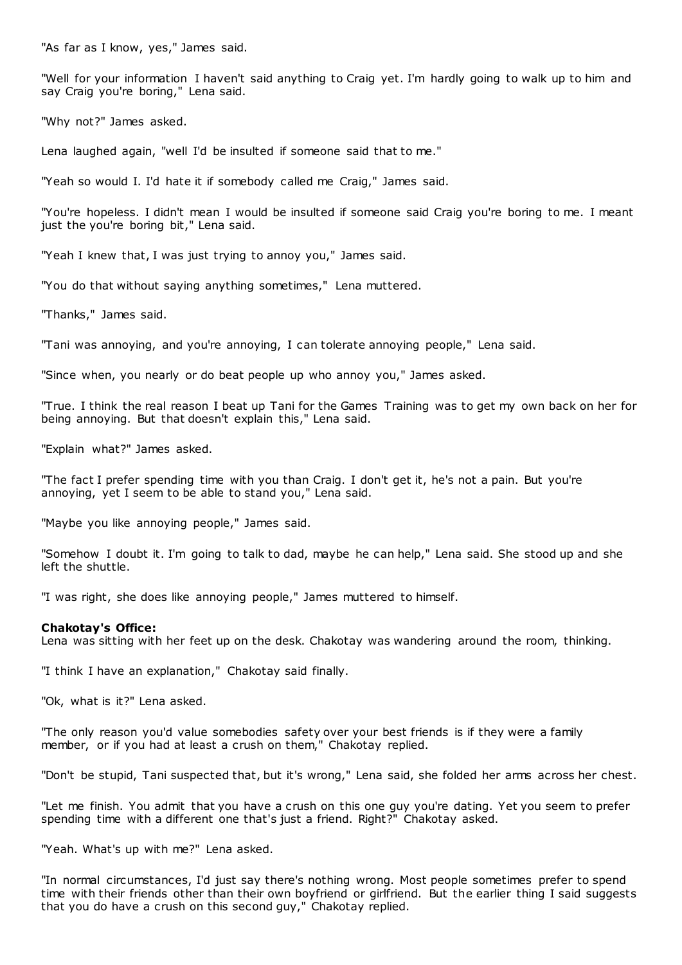"As far as I know, yes," James said.

"Well for your information I haven't said anything to Craig yet. I'm hardly going to walk up to him and say Craig you're boring," Lena said.

"Why not?" James asked.

Lena laughed again, "well I'd be insulted if someone said that to me."

"Yeah so would I. I'd hate it if somebody called me Craig," James said.

"You're hopeless. I didn't mean I would be insulted if someone said Craig you're boring to me. I meant just the you're boring bit," Lena said.

"Yeah I knew that, I was just trying to annoy you," James said.

"You do that without saying anything sometimes," Lena muttered.

"Thanks," James said.

"Tani was annoying, and you're annoying, I can tolerate annoying people," Lena said.

"Since when, you nearly or do beat people up who annoy you," James asked.

"True. I think the real reason I beat up Tani for the Games Training was to get my own back on her for being annoying. But that doesn't explain this," Lena said.

"Explain what?" James asked.

"The fact I prefer spending time with you than Craig. I don't get it, he's not a pain. But you're annoying, yet I seem to be able to stand you," Lena said.

"Maybe you like annoying people," James said.

"Somehow I doubt it. I'm going to talk to dad, maybe he can help," Lena said. She stood up and she left the shuttle.

"I was right, she does like annoying people," James muttered to himself.

# **Chakotay's Office:**

Lena was sitting with her feet up on the desk. Chakotay was wandering around the room, thinking.

"I think I have an explanation," Chakotay said finally.

"Ok, what is it?" Lena asked.

"The only reason you'd value somebodies safety over your best friends is if they were a family member, or if you had at least a crush on them," Chakotay replied.

"Don't be stupid, Tani suspected that, but it's wrong," Lena said, she folded her arms across her chest.

"Let me finish. You admit that you have a crush on this one guy you're dating. Yet you seem to prefer spending time with a different one that's just a friend. Right?" Chakotay asked.

"Yeah. What's up with me?" Lena asked.

"In normal circumstances, I'd just say there's nothing wrong. Most people sometimes prefer to spend time with their friends other than their own boyfriend or girlfriend. But the earlier thing I said suggests that you do have a crush on this second guy," Chakotay replied.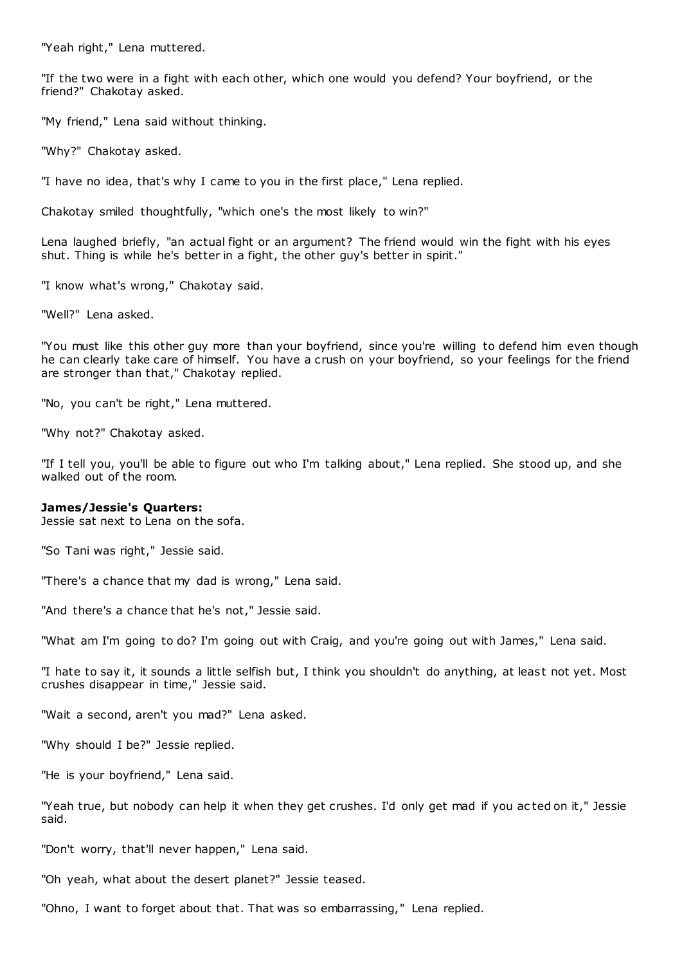"Yeah right," Lena muttered.

"If the two were in a fight with each other, which one would you defend? Your boyfriend, or the friend?" Chakotay asked.

"My friend," Lena said without thinking.

"Why?" Chakotay asked.

"I have no idea, that's why I came to you in the first place," Lena replied.

Chakotay smiled thoughtfully, "which one's the most likely to win?"

Lena laughed briefly, "an actual fight or an argument? The friend would win the fight with his eyes shut. Thing is while he's better in a fight, the other guy's better in spirit."

"I know what's wrong," Chakotay said.

"Well?" Lena asked.

"You must like this other guy more than your boyfriend, since you're willing to defend him even though he can clearly take care of himself. You have a crush on your boyfriend, so your feelings for the friend are stronger than that," Chakotay replied.

"No, you can't be right," Lena muttered.

"Why not?" Chakotay asked.

"If I tell you, you'll be able to figure out who I'm talking about," Lena replied. She stood up, and she walked out of the room.

# **James/Jessie's Quarters:**

Jessie sat next to Lena on the sofa.

"So Tani was right," Jessie said.

"There's a chance that my dad is wrong," Lena said.

"And there's a chance that he's not," Jessie said.

"What am I'm going to do? I'm going out with Craig, and you're going out with James," Lena said.

"I hate to say it, it sounds a little selfish but, I think you shouldn't do anything, at least not yet. Most crushes disappear in time," Jessie said.

"Wait a second, aren't you mad?" Lena asked.

"Why should I be?" Jessie replied.

"He is your boyfriend," Lena said.

"Yeah true, but nobody can help it when they get crushes. I'd only get mad if you ac ted on it," Jessie said.

"Don't worry, that'll never happen," Lena said.

"Oh yeah, what about the desert planet?" Jessie teased.

"Ohno, I want to forget about that. That was so embarrassing," Lena replied.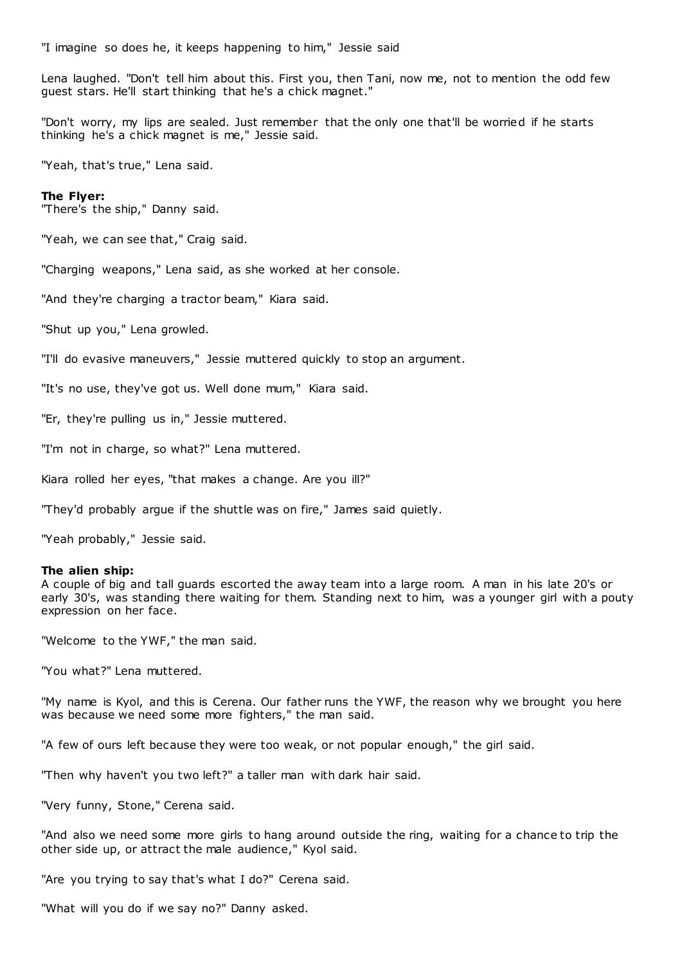"I imagine so does he, it keeps happening to him," Jessie said

Lena laughed. "Don't tell him about this. First you, then Tani, now me, not to mention the odd few guest stars. He'll start thinking that he's a chick magnet."

"Don't worry, my lips are sealed. Just remember that the only one that'll be worried if he starts thinking he's a chick magnet is me," Jessie said.

"Yeah, that's true," Lena said.

#### **The Flyer:**

"There's the ship," Danny said.

"Yeah, we can see that," Craig said.

"Charging weapons," Lena said, as she worked at her console.

"And they're charging a tractor beam," Kiara said.

"Shut up you," Lena growled.

"I'll do evasive maneuvers," Jessie muttered quickly to stop an argument.

"It's no use, they've got us. Well done mum," Kiara said.

"Er, they're pulling us in," Jessie muttered.

"I'm not in charge, so what?" Lena muttered.

Kiara rolled her eyes, "that makes a change. Are you ill?"

"They'd probably argue if the shuttle was on fire," James said quietly.

"Yeah probably," Jessie said.

### **The alien ship:**

A couple of big and tall guards escorted the away team into a large room. A man in his late 20's or early 30's, was standing there waiting for them. Standing next to him, was a younger girl with a pouty expression on her face.

"Welcome to the YWF," the man said.

"You what?" Lena muttered.

"My name is Kyol, and this is Cerena. Our father runs the YWF, the reason why we brought you here was because we need some more fighters," the man said.

"A few of ours left because they were too weak, or not popular enough," the girl said.

"Then why haven't you two left?" a taller man with dark hair said.

"Very funny, Stone," Cerena said.

"And also we need some more girls to hang around outside the ring, waiting for a chance to trip the other side up, or attract the male audience," Kyol said.

"Are you trying to say that's what I do?" Cerena said.

"What will you do if we say no?" Danny asked.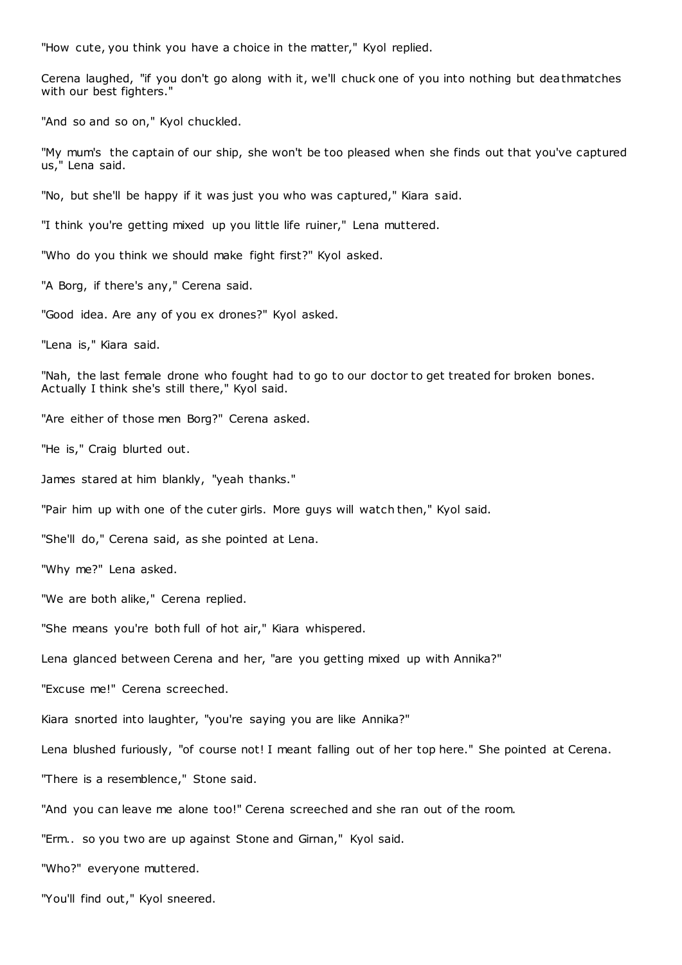"How cute, you think you have a choice in the matter," Kyol replied.

Cerena laughed, "if you don't go along with it, we'll chuck one of you into nothing but deathmatches with our best fighters."

"And so and so on," Kyol chuckled.

"My mum's the captain of our ship, she won't be too pleased when she finds out that you've captured us," Lena said.

"No, but she'll be happy if it was just you who was captured," Kiara said.

"I think you're getting mixed up you little life ruiner," Lena muttered.

"Who do you think we should make fight first?" Kyol asked.

"A Borg, if there's any," Cerena said.

"Good idea. Are any of you ex drones?" Kyol asked.

"Lena is," Kiara said.

"Nah, the last female drone who fought had to go to our doctor to get treated for broken bones. Actually I think she's still there," Kyol said.

"Are either of those men Borg?" Cerena asked.

"He is," Craig blurted out.

James stared at him blankly, "yeah thanks."

"Pair him up with one of the cuter girls. More guys will watch then," Kyol said.

"She'll do," Cerena said, as she pointed at Lena.

"Why me?" Lena asked.

"We are both alike," Cerena replied.

"She means you're both full of hot air," Kiara whispered.

Lena glanced between Cerena and her, "are you getting mixed up with Annika?"

"Excuse me!" Cerena screeched.

Kiara snorted into laughter, "you're saying you are like Annika?"

Lena blushed furiously, "of course not! I meant falling out of her top here." She pointed at Cerena.

"There is a resemblence," Stone said.

"And you can leave me alone too!" Cerena screeched and she ran out of the room.

"Erm.. so you two are up against Stone and Girnan," Kyol said.

"Who?" everyone muttered.

"You'll find out," Kyol sneered.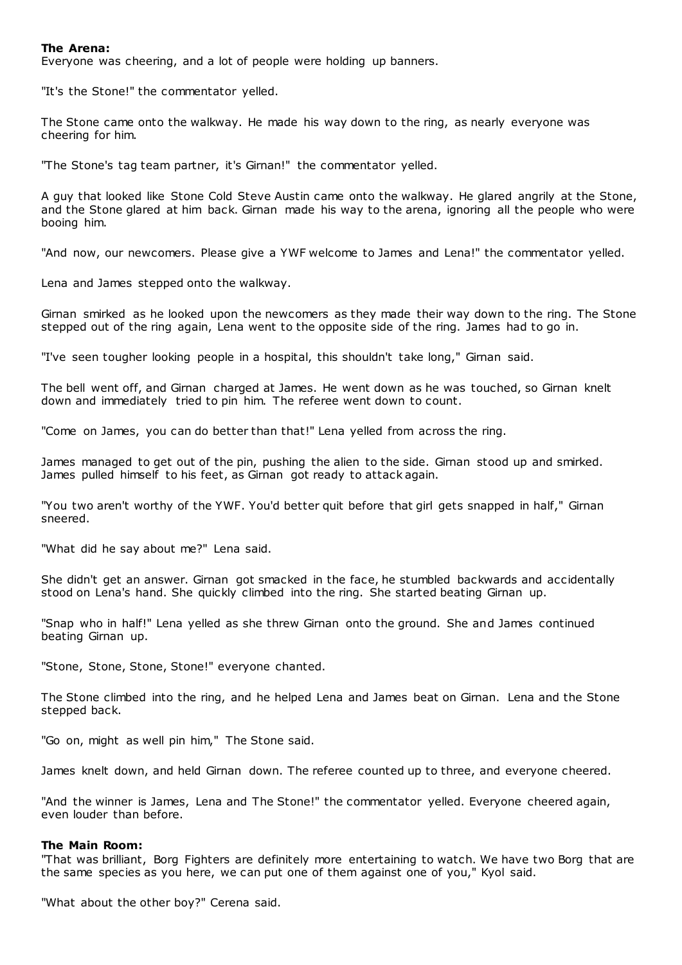# **The Arena:**

Everyone was cheering, and a lot of people were holding up banners.

"It's the Stone!" the commentator yelled.

The Stone came onto the walkway. He made his way down to the ring, as nearly everyone was cheering for him.

"The Stone's tag team partner, it's Girnan!" the commentator yelled.

A guy that looked like Stone Cold Steve Austin came onto the walkway. He glared angrily at the Stone, and the Stone glared at him back. Girnan made his way to the arena, ignoring all the people who were booing him.

"And now, our newcomers. Please give a YWF welcome to James and Lena!" the commentator yelled.

Lena and James stepped onto the walkway.

Girnan smirked as he looked upon the newcomers as they made their way down to the ring. The Stone stepped out of the ring again, Lena went to the opposite side of the ring. James had to go in.

"I've seen tougher looking people in a hospital, this shouldn't take long," Girnan said.

The bell went off, and Girnan charged at James. He went down as he was touched, so Girnan knelt down and immediately tried to pin him. The referee went down to count.

"Come on James, you can do better than that!" Lena yelled from across the ring.

James managed to get out of the pin, pushing the alien to the side. Girnan stood up and smirked. James pulled himself to his feet, as Girnan got ready to attack again.

"You two aren't worthy of the YWF. You'd better quit before that girl gets snapped in half," Girnan sneered.

"What did he say about me?" Lena said.

She didn't get an answer. Girnan got smacked in the face, he stumbled backwards and accidentally stood on Lena's hand. She quickly climbed into the ring. She started beating Girnan up.

"Snap who in half!" Lena yelled as she threw Girnan onto the ground. She and James continued beating Girnan up.

"Stone, Stone, Stone, Stone!" everyone chanted.

The Stone climbed into the ring, and he helped Lena and James beat on Girnan. Lena and the Stone stepped back.

"Go on, might as well pin him," The Stone said.

James knelt down, and held Girnan down. The referee counted up to three, and everyone cheered.

"And the winner is James, Lena and The Stone!" the commentator yelled. Everyone cheered again, even louder than before.

#### **The Main Room:**

"That was brilliant, Borg Fighters are definitely more entertaining to watch. We have two Borg that are the same species as you here, we can put one of them against one of you," Kyol said.

"What about the other boy?" Cerena said.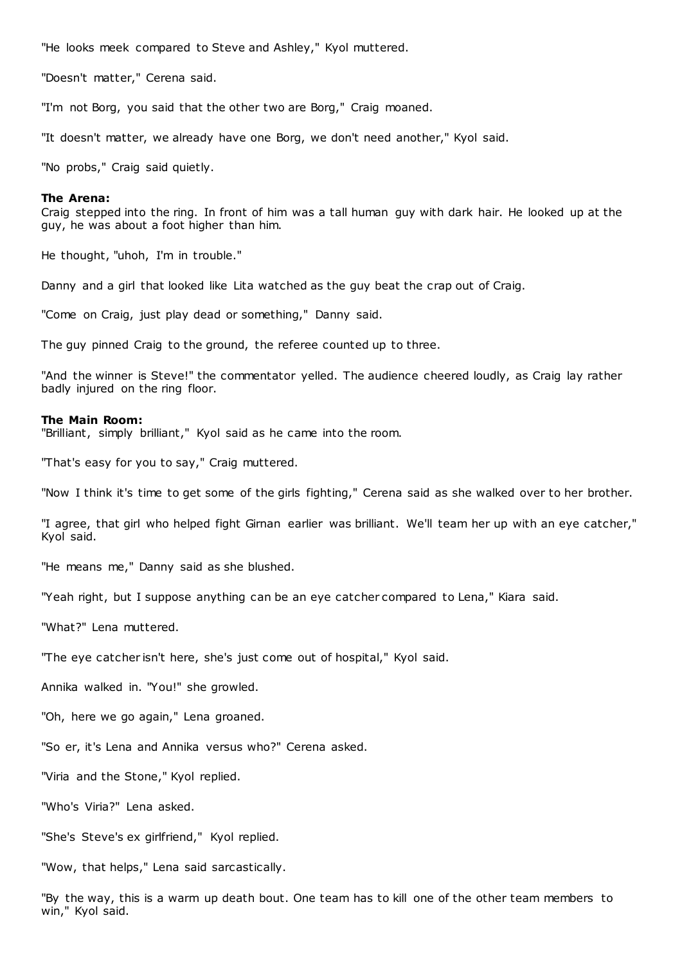"He looks meek compared to Steve and Ashley," Kyol muttered.

"Doesn't matter," Cerena said.

"I'm not Borg, you said that the other two are Borg," Craig moaned.

"It doesn't matter, we already have one Borg, we don't need another," Kyol said.

"No probs," Craig said quietly.

#### **The Arena:**

Craig stepped into the ring. In front of him was a tall human guy with dark hair. He looked up at the guy, he was about a foot higher than him.

He thought, "uhoh, I'm in trouble."

Danny and a girl that looked like Lita watched as the guy beat the crap out of Craig.

"Come on Craig, just play dead or something," Danny said.

The guy pinned Craig to the ground, the referee counted up to three.

"And the winner is Steve!" the commentator yelled. The audience cheered loudly, as Craig lay rather badly injured on the ring floor.

#### **The Main Room:**

"Brilliant, simply brilliant," Kyol said as he came into the room.

"That's easy for you to say," Craig muttered.

"Now I think it's time to get some of the girls fighting," Cerena said as she walked over to her brother.

"I agree, that girl who helped fight Girnan earlier was brilliant. We'll team her up with an eye catcher," Kyol said.

"He means me," Danny said as she blushed.

"Yeah right, but I suppose anything can be an eye catcher compared to Lena," Kiara said.

"What?" Lena muttered.

"The eye catcher isn't here, she's just come out of hospital," Kyol said.

Annika walked in. "You!" she growled.

"Oh, here we go again," Lena groaned.

"So er, it's Lena and Annika versus who?" Cerena asked.

"Viria and the Stone," Kyol replied.

"Who's Viria?" Lena asked.

"She's Steve's ex girlfriend," Kyol replied.

"Wow, that helps," Lena said sarcastically.

"By the way, this is a warm up death bout. One team has to kill one of the other team members to win," Kyol said.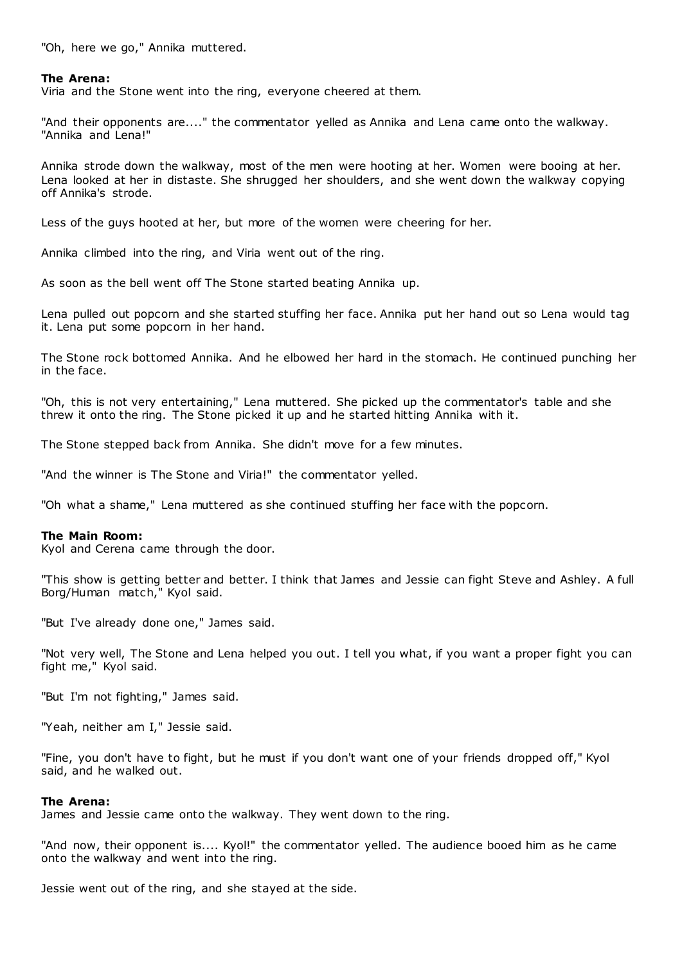"Oh, here we go," Annika muttered.

# **The Arena:**

Viria and the Stone went into the ring, everyone cheered at them.

"And their opponents are...." the commentator yelled as Annika and Lena came onto the walkway. "Annika and Lena!"

Annika strode down the walkway, most of the men were hooting at her. Women were booing at her. Lena looked at her in distaste. She shrugged her shoulders, and she went down the walkway copying off Annika's strode.

Less of the guys hooted at her, but more of the women were cheering for her.

Annika climbed into the ring, and Viria went out of the ring.

As soon as the bell went off The Stone started beating Annika up.

Lena pulled out popcorn and she started stuffing her face. Annika put her hand out so Lena would tag it. Lena put some popcorn in her hand.

The Stone rock bottomed Annika. And he elbowed her hard in the stomach. He continued punching her in the face.

"Oh, this is not very entertaining," Lena muttered. She picked up the commentator's table and she threw it onto the ring. The Stone picked it up and he started hitting Annika with it.

The Stone stepped back from Annika. She didn't move for a few minutes.

"And the winner is The Stone and Viria!" the commentator yelled.

"Oh what a shame," Lena muttered as she continued stuffing her face with the popcorn.

#### **The Main Room:**

Kyol and Cerena came through the door.

"This show is getting better and better. I think that James and Jessie can fight Steve and Ashley. A full Borg/Human match," Kyol said.

"But I've already done one," James said.

"Not very well, The Stone and Lena helped you out. I tell you what, if you want a proper fight you can fight me," Kyol said.

"But I'm not fighting," James said.

"Yeah, neither am I," Jessie said.

"Fine, you don't have to fight, but he must if you don't want one of your friends dropped off," Kyol said, and he walked out.

## **The Arena:**

James and Jessie came onto the walkway. They went down to the ring.

"And now, their opponent is.... Kyol!" the commentator yelled. The audience booed him as he came onto the walkway and went into the ring.

Jessie went out of the ring, and she stayed at the side.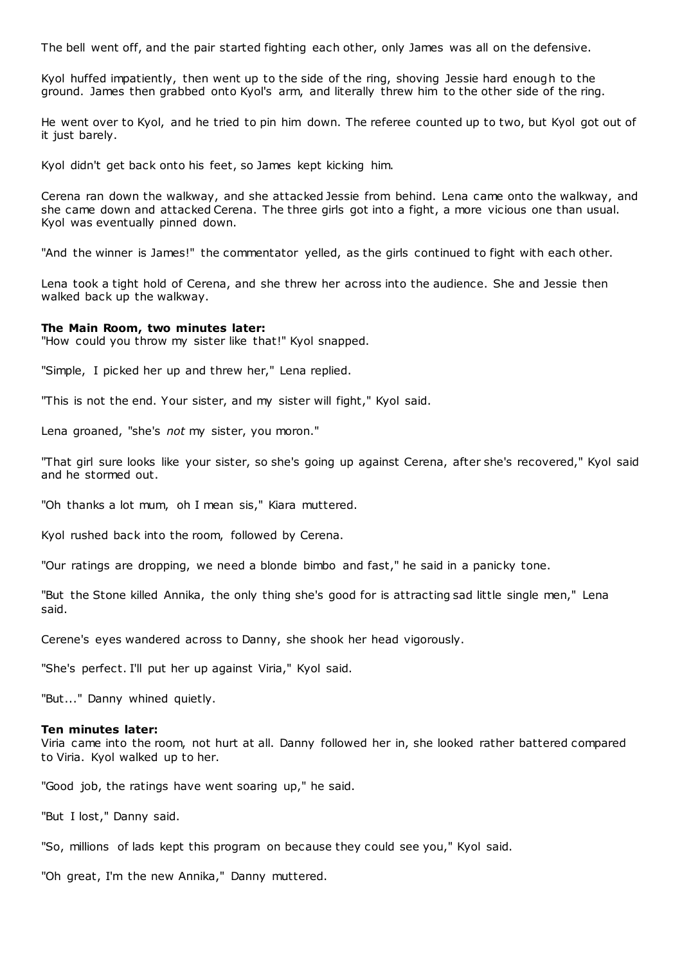The bell went off, and the pair started fighting each other, only James was all on the defensive.

Kyol huffed impatiently, then went up to the side of the ring, shoving Jessie hard enough to the ground. James then grabbed onto Kyol's arm, and literally threw him to the other side of the ring.

He went over to Kyol, and he tried to pin him down. The referee counted up to two, but Kyol got out of it just barely.

Kyol didn't get back onto his feet, so James kept kicking him.

Cerena ran down the walkway, and she attacked Jessie from behind. Lena came onto the walkway, and she came down and attacked Cerena. The three girls got into a fight, a more vicious one than usual. Kyol was eventually pinned down.

"And the winner is James!" the commentator yelled, as the girls continued to fight with each other.

Lena took a tight hold of Cerena, and she threw her across into the audience. She and Jessie then walked back up the walkway.

#### **The Main Room, two minutes later:**

"How could you throw my sister like that!" Kyol snapped.

"Simple, I picked her up and threw her," Lena replied.

"This is not the end. Your sister, and my sister will fight," Kyol said.

Lena groaned, "she's *not* my sister, you moron."

"That girl sure looks like your sister, so she's going up against Cerena, after she's recovered," Kyol said and he stormed out.

"Oh thanks a lot mum, oh I mean sis," Kiara muttered.

Kyol rushed back into the room, followed by Cerena.

"Our ratings are dropping, we need a blonde bimbo and fast," he said in a panicky tone.

"But the Stone killed Annika, the only thing she's good for is attracting sad little single men," Lena said.

Cerene's eyes wandered across to Danny, she shook her head vigorously.

"She's perfect. I'll put her up against Viria," Kyol said.

"But..." Danny whined quietly.

#### **Ten minutes later:**

Viria came into the room, not hurt at all. Danny followed her in, she looked rather battered compared to Viria. Kyol walked up to her.

"Good job, the ratings have went soaring up," he said.

"But I lost," Danny said.

"So, millions of lads kept this program on because they could see you," Kyol said.

"Oh great, I'm the new Annika," Danny muttered.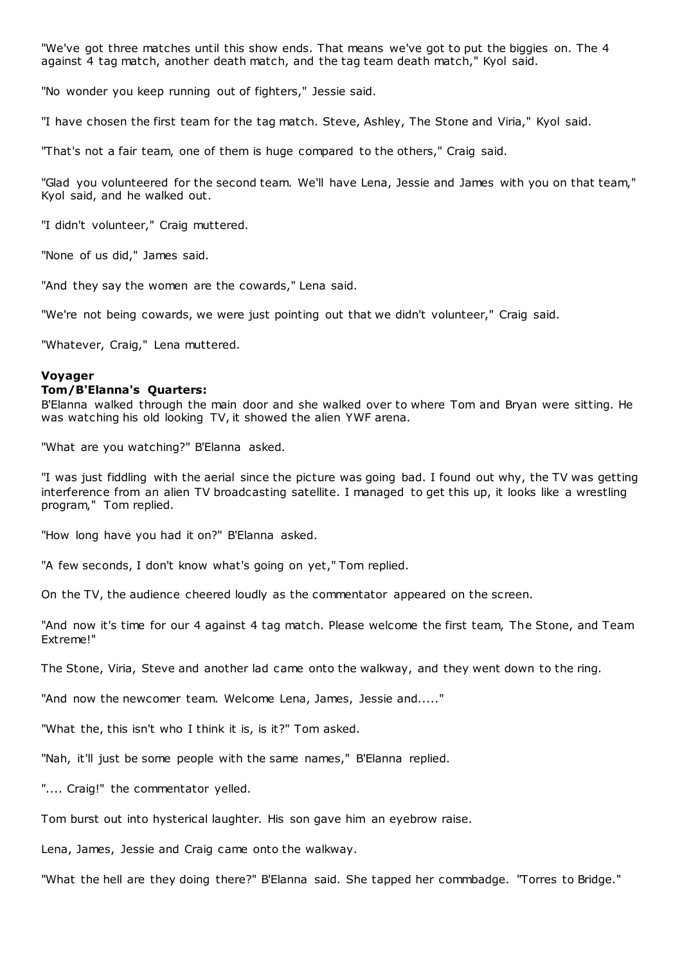"We've got three matches until this show ends. That means we've got to put the biggies on. The 4 against 4 tag match, another death match, and the tag team death match," Kyol said.

"No wonder you keep running out of fighters," Jessie said.

"I have chosen the first team for the tag match. Steve, Ashley, The Stone and Viria," Kyol said.

"That's not a fair team, one of them is huge compared to the others," Craig said.

"Glad you volunteered for the second team. We'll have Lena, Jessie and James with you on that team," Kyol said, and he walked out.

"I didn't volunteer," Craig muttered.

"None of us did," James said.

"And they say the women are the cowards," Lena said.

"We're not being cowards, we were just pointing out that we didn't volunteer," Craig said.

"Whatever, Craig," Lena muttered.

# **Voyager**

# **Tom/B'Elanna's Quarters:**

B'Elanna walked through the main door and she walked over to where Tom and Bryan were sitting. He was watching his old looking TV, it showed the alien YWF arena.

"What are you watching?" B'Elanna asked.

"I was just fiddling with the aerial since the picture was going bad. I found out why, the TV was getting interference from an alien TV broadcasting satellite. I managed to get this up, it looks like a wrestling program," Tom replied.

"How long have you had it on?" B'Elanna asked.

"A few seconds, I don't know what's going on yet," Tom replied.

On the TV, the audience cheered loudly as the commentator appeared on the screen.

"And now it's time for our 4 against 4 tag match. Please welcome the first team, The Stone, and Team Extreme!"

The Stone, Viria, Steve and another lad came onto the walkway, and they went down to the ring.

"And now the newcomer team. Welcome Lena, James, Jessie and....."

"What the, this isn't who I think it is, is it?" Tom asked.

"Nah, it'll just be some people with the same names," B'Elanna replied.

".... Craig!" the commentator yelled.

Tom burst out into hysterical laughter. His son gave him an eyebrow raise.

Lena, James, Jessie and Craig came onto the walkway.

"What the hell are they doing there?" B'Elanna said. She tapped her commbadge. "Torres to Bridge."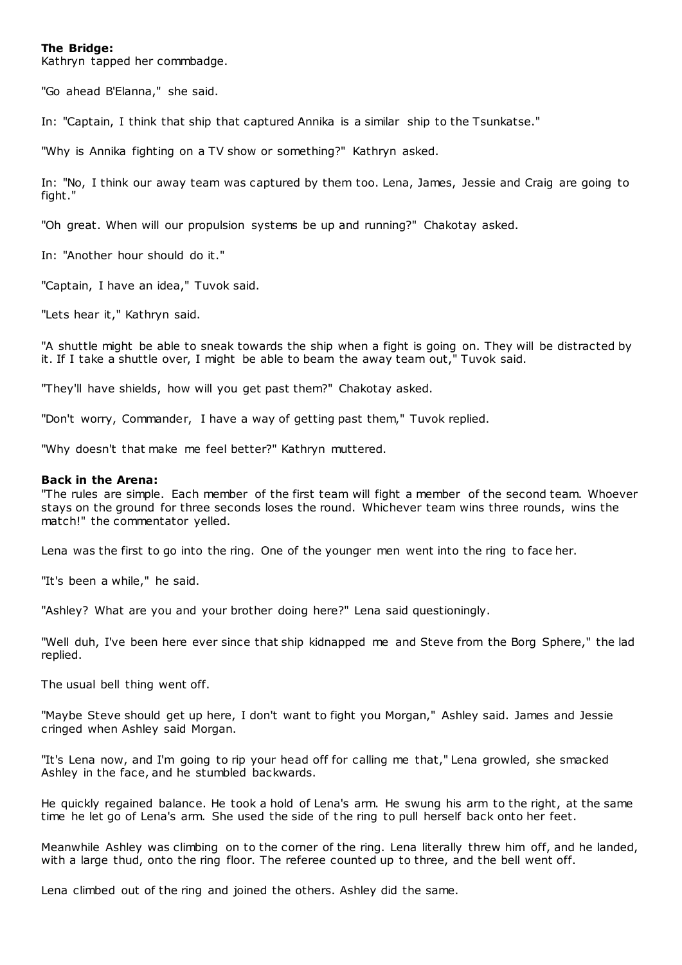# **The Bridge:**

Kathryn tapped her commbadge.

"Go ahead B'Elanna," she said.

In: "Captain, I think that ship that captured Annika is a similar ship to the Tsunkatse."

"Why is Annika fighting on a TV show or something?" Kathryn asked.

In: "No, I think our away team was captured by them too. Lena, James, Jessie and Craig are going to fight."

"Oh great. When will our propulsion systems be up and running?" Chakotay asked.

In: "Another hour should do it."

"Captain, I have an idea," Tuvok said.

"Lets hear it," Kathryn said.

"A shuttle might be able to sneak towards the ship when a fight is going on. They will be distracted by it. If I take a shuttle over, I might be able to beam the away team out," Tuvok said.

"They'll have shields, how will you get past them?" Chakotay asked.

"Don't worry, Commander, I have a way of getting past them," Tuvok replied.

"Why doesn't that make me feel better?" Kathryn muttered.

#### **Back in the Arena:**

"The rules are simple. Each member of the first team will fight a member of the second team. Whoever stays on the ground for three seconds loses the round. Whichever team wins three rounds, wins the match!" the commentator yelled.

Lena was the first to go into the ring. One of the younger men went into the ring to face her.

"It's been a while," he said.

"Ashley? What are you and your brother doing here?" Lena said questioningly.

"Well duh, I've been here ever since that ship kidnapped me and Steve from the Borg Sphere," the lad replied.

The usual bell thing went off.

"Maybe Steve should get up here, I don't want to fight you Morgan," Ashley said. James and Jessie cringed when Ashley said Morgan.

"It's Lena now, and I'm going to rip your head off for calling me that," Lena growled, she smacked Ashley in the face, and he stumbled backwards.

He quickly regained balance. He took a hold of Lena's arm. He swung his arm to the right, at the same time he let go of Lena's arm. She used the side of the ring to pull herself back onto her feet.

Meanwhile Ashley was climbing on to the corner of the ring. Lena literally threw him off, and he landed, with a large thud, onto the ring floor. The referee counted up to three, and the bell went off.

Lena climbed out of the ring and joined the others. Ashley did the same.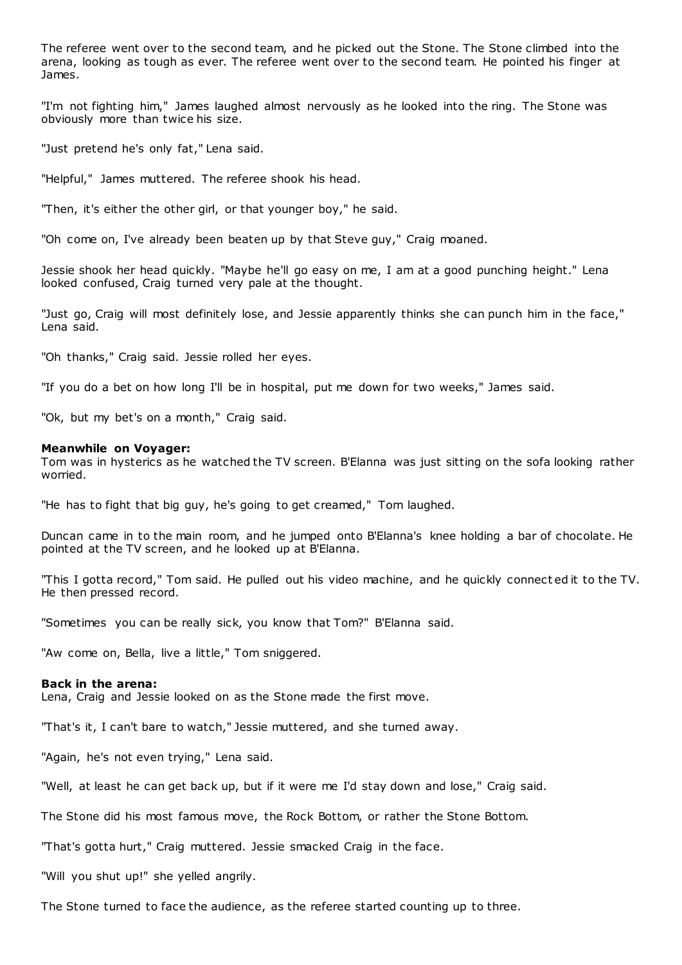The referee went over to the second team, and he picked out the Stone. The Stone climbed into the arena, looking as tough as ever. The referee went over to the second team. He pointed his finger at James.

"I'm not fighting him," James laughed almost nervously as he looked into the ring. The Stone was obviously more than twice his size.

"Just pretend he's only fat," Lena said.

"Helpful," James muttered. The referee shook his head.

"Then, it's either the other girl, or that younger boy," he said.

"Oh come on, I've already been beaten up by that Steve guy," Craig moaned.

Jessie shook her head quickly. "Maybe he'll go easy on me, I am at a good punching height." Lena looked confused, Craig turned very pale at the thought.

"Just go, Craig will most definitely lose, and Jessie apparently thinks she can punch him in the face," Lena said.

"Oh thanks," Craig said. Jessie rolled her eyes.

"If you do a bet on how long I'll be in hospital, put me down for two weeks," James said.

"Ok, but my bet's on a month," Craig said.

# **Meanwhile on Voyager:**

Tom was in hysterics as he watched the TV screen. B'Elanna was just sitting on the sofa looking rather worried.

"He has to fight that big guy, he's going to get creamed," Tom laughed.

Duncan came in to the main room, and he jumped onto B'Elanna's knee holding a bar of chocolate. He pointed at the TV screen, and he looked up at B'Elanna.

"This I gotta record," Tom said. He pulled out his video machine, and he quickly connect ed it to the TV. He then pressed record.

"Sometimes you can be really sick, you know that Tom?" B'Elanna said.

"Aw come on, Bella, live a little," Tom sniggered.

#### **Back in the arena:**

Lena, Craig and Jessie looked on as the Stone made the first move.

"That's it, I can't bare to watch," Jessie muttered, and she turned away.

"Again, he's not even trying," Lena said.

"Well, at least he can get back up, but if it were me I'd stay down and lose," Craig said.

The Stone did his most famous move, the Rock Bottom, or rather the Stone Bottom.

"That's gotta hurt," Craig muttered. Jessie smacked Craig in the face.

"Will you shut up!" she yelled angrily.

The Stone turned to face the audience, as the referee started counting up to three.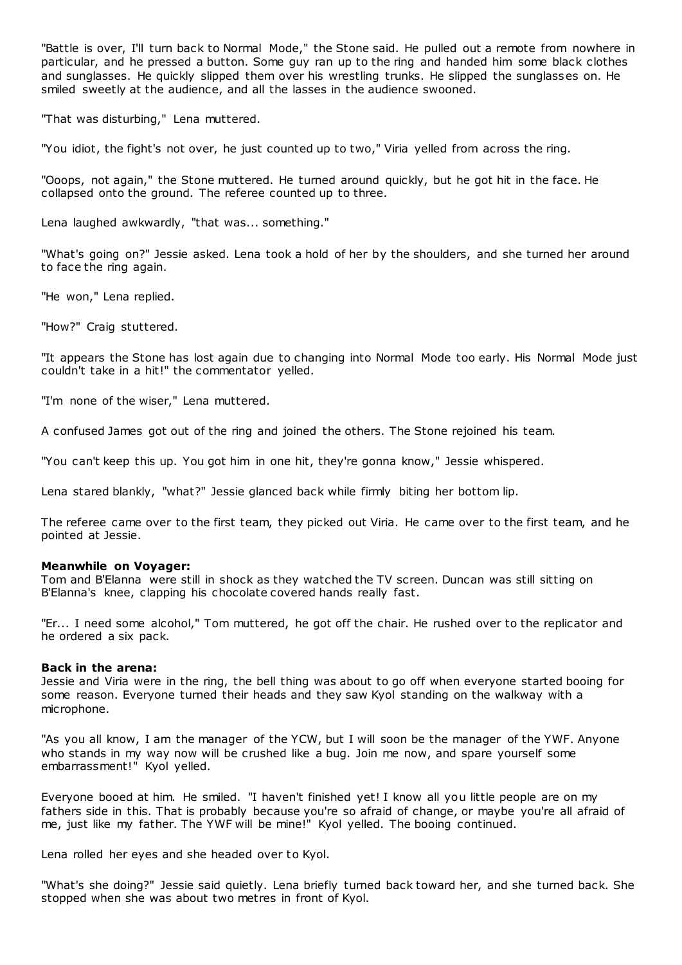"Battle is over, I'll turn back to Normal Mode," the Stone said. He pulled out a remote from nowhere in particular, and he pressed a button. Some guy ran up to the ring and handed him some black clothes and sunglasses. He quickly slipped them over his wrestling trunks. He slipped the sunglasses on. He smiled sweetly at the audience, and all the lasses in the audience swooned.

"That was disturbing," Lena muttered.

"You idiot, the fight's not over, he just counted up to two," Viria yelled from across the ring.

"Ooops, not again," the Stone muttered. He turned around quickly, but he got hit in the face. He collapsed onto the ground. The referee counted up to three.

Lena laughed awkwardly, "that was... something."

"What's going on?" Jessie asked. Lena took a hold of her by the shoulders, and she turned her around to face the ring again.

"He won," Lena replied.

"How?" Craig stuttered.

"It appears the Stone has lost again due to changing into Normal Mode too early. His Normal Mode just couldn't take in a hit!" the commentator yelled.

"I'm none of the wiser," Lena muttered.

A confused James got out of the ring and joined the others. The Stone rejoined his team.

"You can't keep this up. You got him in one hit, they're gonna know," Jessie whispered.

Lena stared blankly, "what?" Jessie glanced back while firmly biting her bottom lip.

The referee came over to the first team, they picked out Viria. He came over to the first team, and he pointed at Jessie.

#### **Meanwhile on Voyager:**

Tom and B'Elanna were still in shock as they watched the TV screen. Duncan was still sitting on B'Elanna's knee, clapping his chocolate covered hands really fast.

"Er... I need some alcohol," Tom muttered, he got off the chair. He rushed over to the replicator and he ordered a six pack.

#### **Back in the arena:**

Jessie and Viria were in the ring, the bell thing was about to go off when everyone started booing for some reason. Everyone turned their heads and they saw Kyol standing on the walkway with a microphone.

"As you all know, I am the manager of the YCW, but I will soon be the manager of the YWF. Anyone who stands in my way now will be crushed like a bug. Join me now, and spare yourself some embarrassment!" Kyol yelled.

Everyone booed at him. He smiled. "I haven't finished yet! I know all you little people are on my fathers side in this. That is probably because you're so afraid of change, or maybe you're all afraid of me, just like my father. The YWF will be mine!" Kyol yelled. The booing continued.

Lena rolled her eyes and she headed over to Kyol.

"What's she doing?" Jessie said quietly. Lena briefly turned back toward her, and she turned back. She stopped when she was about two metres in front of Kyol.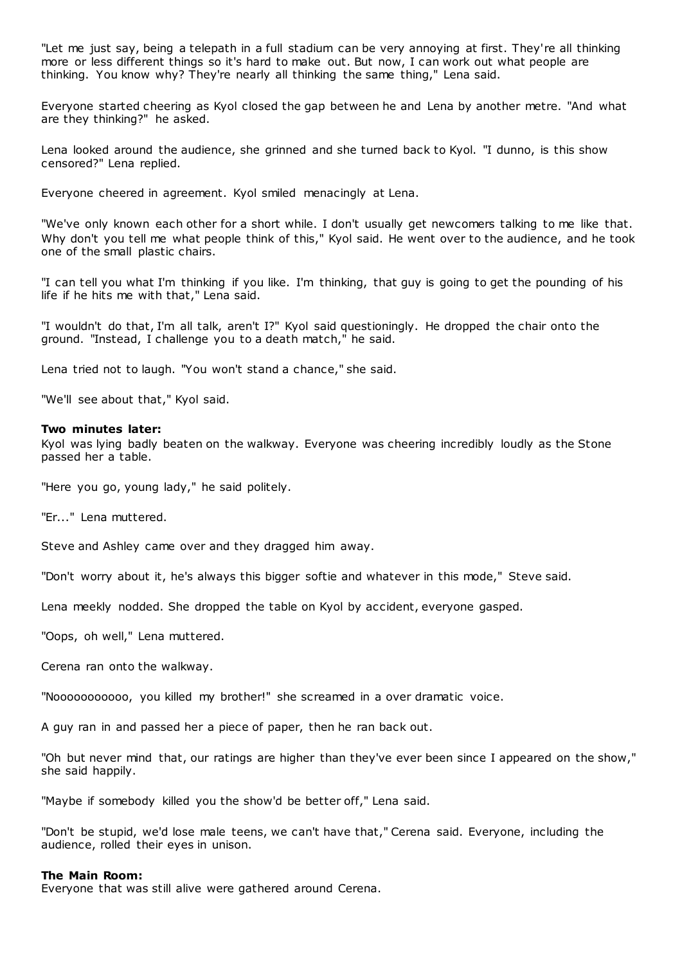"Let me just say, being a telepath in a full stadium can be very annoying at first. They're all thinking more or less different things so it's hard to make out. But now, I can work out what people are thinking. You know why? They're nearly all thinking the same thing," Lena said.

Everyone started cheering as Kyol closed the gap between he and Lena by another metre. "And what are they thinking?" he asked.

Lena looked around the audience, she grinned and she turned back to Kyol. "I dunno, is this show censored?" Lena replied.

Everyone cheered in agreement. Kyol smiled menacingly at Lena.

"We've only known each other for a short while. I don't usually get newcomers talking to me like that. Why don't you tell me what people think of this," Kyol said. He went over to the audience, and he took one of the small plastic chairs.

"I can tell you what I'm thinking if you like. I'm thinking, that guy is going to get the pounding of his life if he hits me with that," Lena said.

"I wouldn't do that, I'm all talk, aren't I?" Kyol said questioningly. He dropped the chair onto the ground. "Instead, I challenge you to a death match," he said.

Lena tried not to laugh. "You won't stand a chance," she said.

"We'll see about that," Kyol said.

#### **Two minutes later:**

Kyol was lying badly beaten on the walkway. Everyone was cheering incredibly loudly as the Stone passed her a table.

"Here you go, young lady," he said politely.

"Er..." Lena muttered.

Steve and Ashley came over and they dragged him away.

"Don't worry about it, he's always this bigger softie and whatever in this mode," Steve said.

Lena meekly nodded. She dropped the table on Kyol by accident, everyone gasped.

"Oops, oh well," Lena muttered.

Cerena ran onto the walkway.

"Nooooooooooo, you killed my brother!" she screamed in a over dramatic voice.

A guy ran in and passed her a piece of paper, then he ran back out.

"Oh but never mind that, our ratings are higher than they've ever been since I appeared on the show," she said happily.

"Maybe if somebody killed you the show'd be better off," Lena said.

"Don't be stupid, we'd lose male teens, we can't have that," Cerena said. Everyone, including the audience, rolled their eyes in unison.

#### **The Main Room:**

Everyone that was still alive were gathered around Cerena.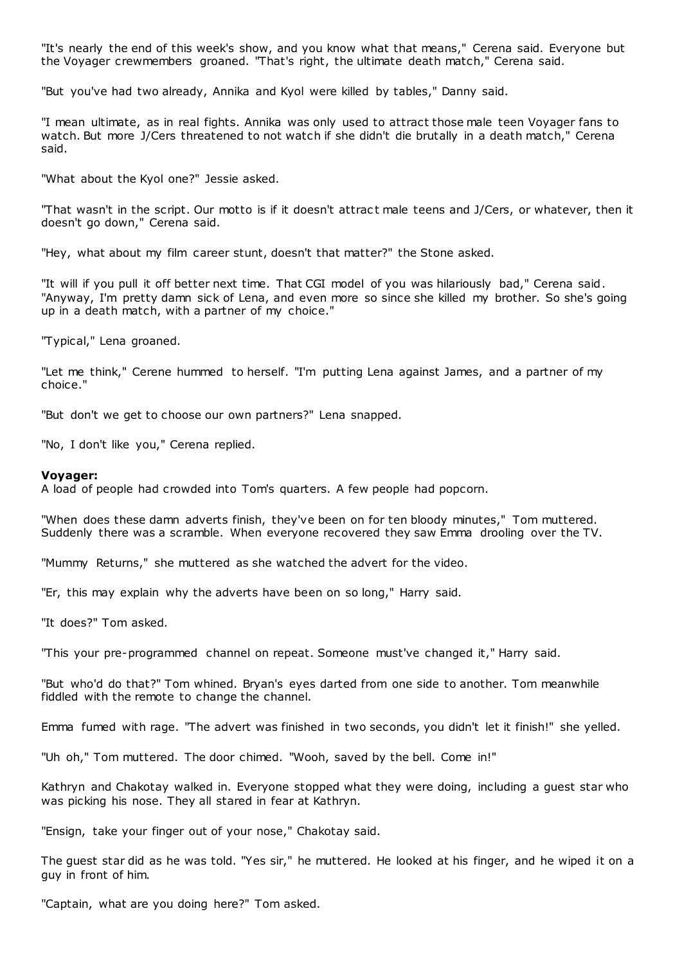"It's nearly the end of this week's show, and you know what that means," Cerena said. Everyone but the Voyager crewmembers groaned. "That's right, the ultimate death match," Cerena said.

"But you've had two already, Annika and Kyol were killed by tables," Danny said.

"I mean ultimate, as in real fights. Annika was only used to attract those male teen Voyager fans to watch. But more J/Cers threatened to not watch if she didn't die brutally in a death match," Cerena said.

"What about the Kyol one?" Jessie asked.

"That wasn't in the script. Our motto is if it doesn't attract male teens and J/Cers, or whatever, then it doesn't go down," Cerena said.

"Hey, what about my film career stunt, doesn't that matter?" the Stone asked.

"It will if you pull it off better next time. That CGI model of you was hilariously bad," Cerena said. "Anyway, I'm pretty damn sick of Lena, and even more so since she killed my brother. So she's going up in a death match, with a partner of my choice."

"Typical," Lena groaned.

"Let me think," Cerene hummed to herself. "I'm putting Lena against James, and a partner of my choice."

"But don't we get to choose our own partners?" Lena snapped.

"No, I don't like you," Cerena replied.

#### **Voyager:**

A load of people had crowded into Tom's quarters. A few people had popcorn.

"When does these damn adverts finish, they've been on for ten bloody minutes," Tom muttered. Suddenly there was a scramble. When everyone recovered they saw Emma drooling over the TV.

"Mummy Returns," she muttered as she watched the advert for the video.

"Er, this may explain why the adverts have been on so long," Harry said.

"It does?" Tom asked.

"This your pre-programmed channel on repeat. Someone must've changed it," Harry said.

"But who'd do that?" Tom whined. Bryan's eyes darted from one side to another. Tom meanwhile fiddled with the remote to change the channel.

Emma fumed with rage. "The advert was finished in two seconds, you didn't let it finish!" she yelled.

"Uh oh," Tom muttered. The door chimed. "Wooh, saved by the bell. Come in!"

Kathryn and Chakotay walked in. Everyone stopped what they were doing, including a guest star who was picking his nose. They all stared in fear at Kathryn.

"Ensign, take your finger out of your nose," Chakotay said.

The guest star did as he was told. "Yes sir," he muttered. He looked at his finger, and he wiped it on a guy in front of him.

"Captain, what are you doing here?" Tom asked.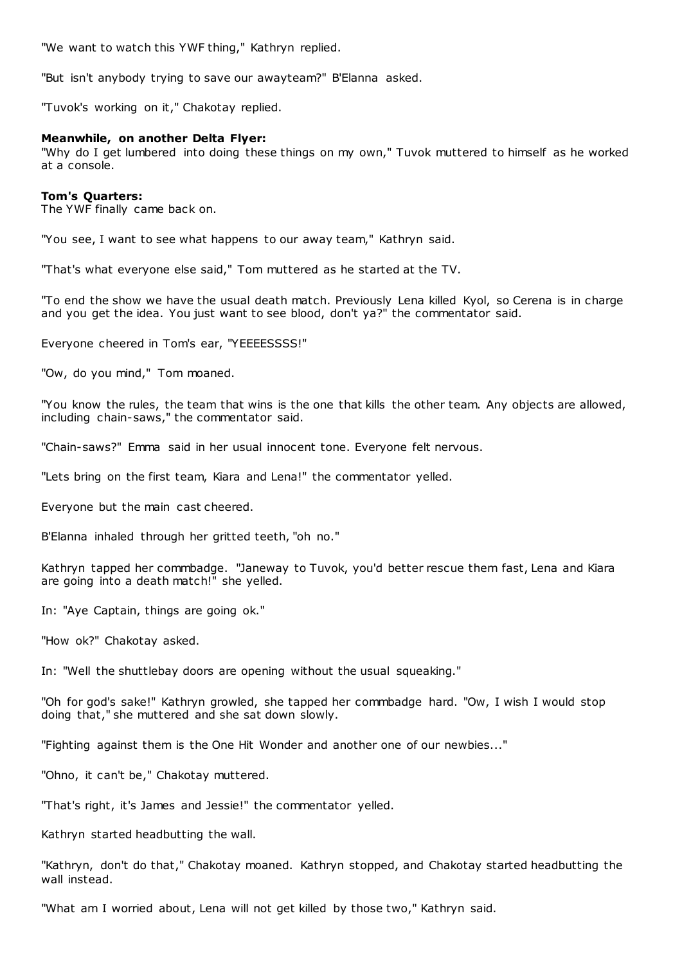"We want to watch this YWF thing," Kathryn replied.

"But isn't anybody trying to save our awayteam?" B'Elanna asked.

"Tuvok's working on it," Chakotay replied.

# **Meanwhile, on another Delta Flyer:**

"Why do I get lumbered into doing these things on my own," Tuvok muttered to himself as he worked at a console.

# **Tom's Quarters:**

The YWF finally came back on.

"You see, I want to see what happens to our away team," Kathryn said.

"That's what everyone else said," Tom muttered as he started at the TV.

"To end the show we have the usual death match. Previously Lena killed Kyol, so Cerena is in charge and you get the idea. You just want to see blood, don't ya?" the commentator said.

Everyone cheered in Tom's ear, "YEEEESSSS!"

"Ow, do you mind," Tom moaned.

"You know the rules, the team that wins is the one that kills the other team. Any objects are allowed, including chain-saws," the commentator said.

"Chain-saws?" Emma said in her usual innocent tone. Everyone felt nervous.

"Lets bring on the first team, Kiara and Lena!" the commentator yelled.

Everyone but the main cast cheered.

B'Elanna inhaled through her gritted teeth, "oh no."

Kathryn tapped her commbadge. "Janeway to Tuvok, you'd better rescue them fast, Lena and Kiara are going into a death match!" she yelled.

In: "Aye Captain, things are going ok."

"How ok?" Chakotay asked.

In: "Well the shuttlebay doors are opening without the usual squeaking."

"Oh for god's sake!" Kathryn growled, she tapped her commbadge hard. "Ow, I wish I would stop doing that," she muttered and she sat down slowly.

"Fighting against them is the One Hit Wonder and another one of our newbies..."

"Ohno, it can't be," Chakotay muttered.

"That's right, it's James and Jessie!" the commentator yelled.

Kathryn started headbutting the wall.

"Kathryn, don't do that," Chakotay moaned. Kathryn stopped, and Chakotay started headbutting the wall instead.

"What am I worried about, Lena will not get killed by those two," Kathryn said.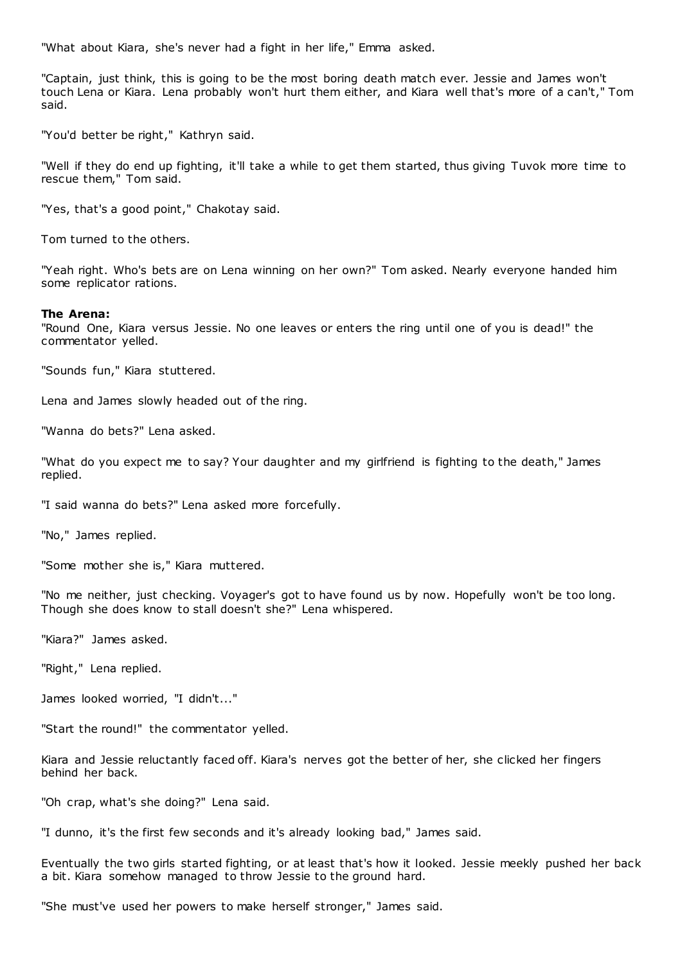"What about Kiara, she's never had a fight in her life," Emma asked.

"Captain, just think, this is going to be the most boring death match ever. Jessie and James won't touch Lena or Kiara. Lena probably won't hurt them either, and Kiara well that's more of a can't," Tom said.

"You'd better be right," Kathryn said.

"Well if they do end up fighting, it'll take a while to get them started, thus giving Tuvok more time to rescue them," Tom said.

"Yes, that's a good point," Chakotay said.

Tom turned to the others.

"Yeah right. Who's bets are on Lena winning on her own?" Tom asked. Nearly everyone handed him some replicator rations.

#### **The Arena:**

"Round One, Kiara versus Jessie. No one leaves or enters the ring until one of you is dead!" the commentator yelled.

"Sounds fun," Kiara stuttered.

Lena and James slowly headed out of the ring.

"Wanna do bets?" Lena asked.

"What do you expect me to say? Your daughter and my girlfriend is fighting to the death," James replied.

"I said wanna do bets?" Lena asked more forcefully.

"No," James replied.

"Some mother she is," Kiara muttered.

"No me neither, just checking. Voyager's got to have found us by now. Hopefully won't be too long. Though she does know to stall doesn't she?" Lena whispered.

"Kiara?" James asked.

"Right," Lena replied.

James looked worried, "I didn't..."

"Start the round!" the commentator yelled.

Kiara and Jessie reluctantly faced off. Kiara's nerves got the better of her, she clicked her fingers behind her back.

"Oh crap, what's she doing?" Lena said.

"I dunno, it's the first few seconds and it's already looking bad," James said.

Eventually the two girls started fighting, or at least that's how it looked. Jessie meekly pushed her back a bit. Kiara somehow managed to throw Jessie to the ground hard.

"She must've used her powers to make herself stronger," James said.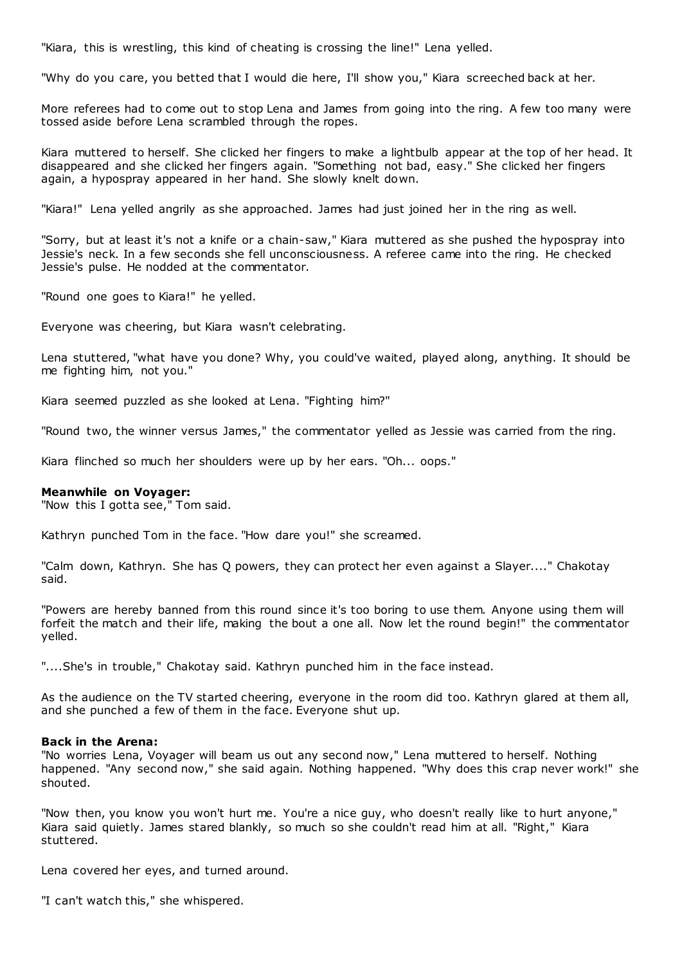"Kiara, this is wrestling, this kind of cheating is crossing the line!" Lena yelled.

"Why do you care, you betted that I would die here, I'll show you," Kiara screeched back at her.

More referees had to come out to stop Lena and James from going into the ring. A few too many were tossed aside before Lena scrambled through the ropes.

Kiara muttered to herself. She clicked her fingers to make a lightbulb appear at the top of her head. It disappeared and she clicked her fingers again. "Something not bad, easy." She clicked her fingers again, a hypospray appeared in her hand. She slowly knelt down.

"Kiara!" Lena yelled angrily as she approached. James had just joined her in the ring as well.

"Sorry, but at least it's not a knife or a chain-saw," Kiara muttered as she pushed the hypospray into Jessie's neck. In a few seconds she fell unconsciousness. A referee came into the ring. He checked Jessie's pulse. He nodded at the commentator.

"Round one goes to Kiara!" he yelled.

Everyone was cheering, but Kiara wasn't celebrating.

Lena stuttered, "what have you done? Why, you could've waited, played along, anything. It should be me fighting him, not you."

Kiara seemed puzzled as she looked at Lena. "Fighting him?"

"Round two, the winner versus James," the commentator yelled as Jessie was carried from the ring.

Kiara flinched so much her shoulders were up by her ears. "Oh... oops."

#### **Meanwhile on Voyager:**

"Now this I gotta see," Tom said.

Kathryn punched Tom in the face. "How dare you!" she screamed.

"Calm down, Kathryn. She has Q powers, they can protect her even against a Slayer...." Chakotay said.

"Powers are hereby banned from this round since it's too boring to use them. Anyone using them will forfeit the match and their life, making the bout a one all. Now let the round begin!" the commentator yelled.

"....She's in trouble," Chakotay said. Kathryn punched him in the face instead.

As the audience on the TV started cheering, everyone in the room did too. Kathryn glared at them all, and she punched a few of them in the face. Everyone shut up.

#### **Back in the Arena:**

"No worries Lena, Voyager will beam us out any second now," Lena muttered to herself. Nothing happened. "Any second now," she said again. Nothing happened. "Why does this crap never work!" she shouted.

"Now then, you know you won't hurt me. You're a nice guy, who doesn't really like to hurt anyone," Kiara said quietly. James stared blankly, so much so she couldn't read him at all. "Right," Kiara stuttered.

Lena covered her eyes, and turned around.

"I can't watch this," she whispered.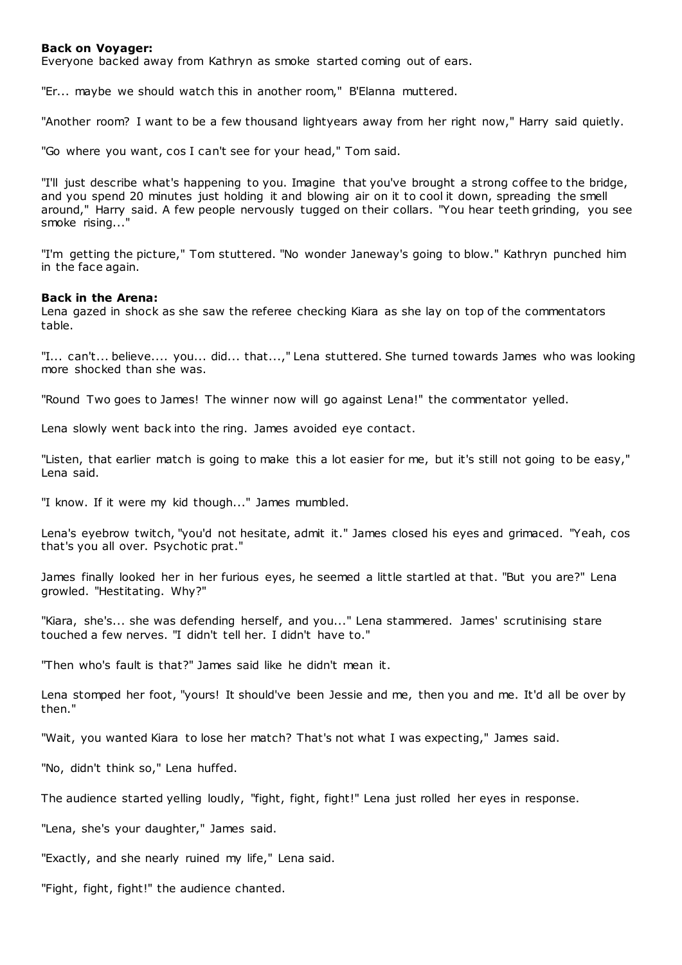# **Back on Voyager:**

Everyone backed away from Kathryn as smoke started coming out of ears.

"Er... maybe we should watch this in another room," B'Elanna muttered.

"Another room? I want to be a few thousand lightyears away from her right now," Harry said quietly.

"Go where you want, cos I can't see for your head," Tom said.

"I'll just describe what's happening to you. Imagine that you've brought a strong coffee to the bridge, and you spend 20 minutes just holding it and blowing air on it to cool it down, spreading the smell around," Harry said. A few people nervously tugged on their collars. "You hear teeth grinding, you see smoke rising...'

"I'm getting the picture," Tom stuttered. "No wonder Janeway's going to blow." Kathryn punched him in the face again.

#### **Back in the Arena:**

Lena gazed in shock as she saw the referee checking Kiara as she lay on top of the commentators table.

"I... can't... believe.... you... did... that...," Lena stuttered. She turned towards James who was looking more shocked than she was.

"Round Two goes to James! The winner now will go against Lena!" the commentator yelled.

Lena slowly went back into the ring. James avoided eye contact.

"Listen, that earlier match is going to make this a lot easier for me, but it's still not going to be easy," Lena said.

"I know. If it were my kid though..." James mumbled.

Lena's eyebrow twitch, "you'd not hesitate, admit it." James closed his eyes and grimaced. "Yeah, cos that's you all over. Psychotic prat."

James finally looked her in her furious eyes, he seemed a little startled at that. "But you are?" Lena growled. "Hestitating. Why?"

"Kiara, she's... she was defending herself, and you..." Lena stammered. James' scrutinising stare touched a few nerves. "I didn't tell her. I didn't have to."

"Then who's fault is that?" James said like he didn't mean it.

Lena stomped her foot, "yours! It should've been Jessie and me, then you and me. It'd all be over by then."

"Wait, you wanted Kiara to lose her match? That's not what I was expecting," James said.

"No, didn't think so," Lena huffed.

The audience started yelling loudly, "fight, fight, fight!" Lena just rolled her eyes in response.

"Lena, she's your daughter," James said.

"Exactly, and she nearly ruined my life," Lena said.

"Fight, fight, fight!" the audience chanted.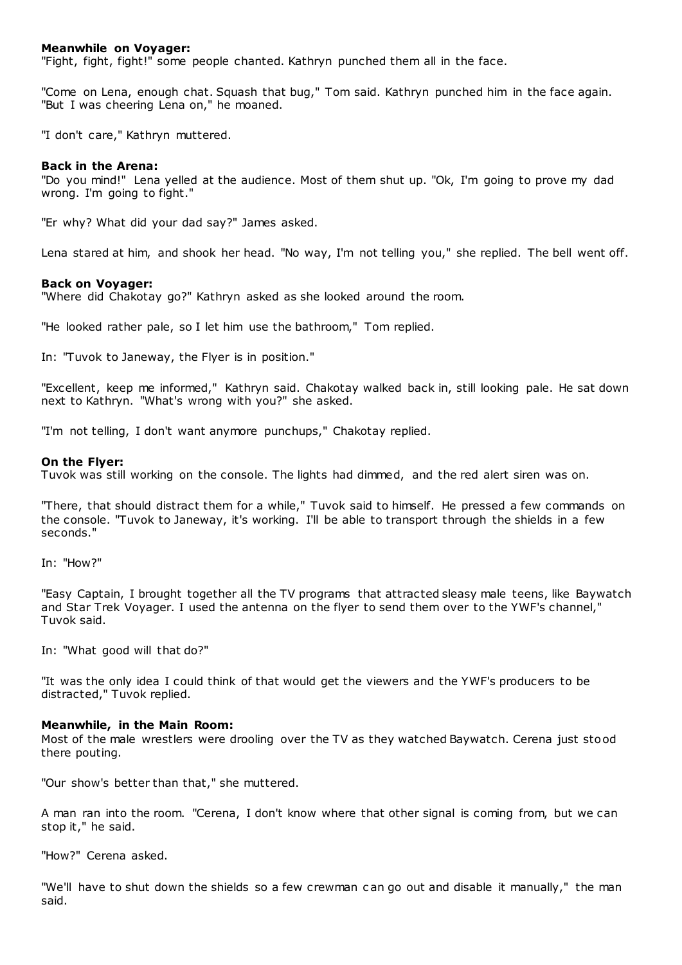# **Meanwhile on Voyager:**

"Fight, fight, fight!" some people chanted. Kathryn punched them all in the face.

"Come on Lena, enough chat. Squash that bug," Tom said. Kathryn punched him in the face again. "But I was cheering Lena on," he moaned.

"I don't care," Kathryn muttered.

# **Back in the Arena:**

"Do you mind!" Lena yelled at the audience. Most of them shut up. "Ok, I'm going to prove my dad wrong. I'm going to fight."

"Er why? What did your dad say?" James asked.

Lena stared at him, and shook her head. "No way, I'm not telling you," she replied. The bell went off.

### **Back on Voyager:**

"Where did Chakotay go?" Kathryn asked as she looked around the room.

"He looked rather pale, so I let him use the bathroom," Tom replied.

In: "Tuvok to Janeway, the Flyer is in position."

"Excellent, keep me informed," Kathryn said. Chakotay walked back in, still looking pale. He sat down next to Kathryn. "What's wrong with you?" she asked.

"I'm not telling, I don't want anymore punchups," Chakotay replied.

### **On the Flyer:**

Tuvok was still working on the console. The lights had dimmed, and the red alert siren was on.

"There, that should distract them for a while," Tuvok said to himself. He pressed a few commands on the console. "Tuvok to Janeway, it's working. I'll be able to transport through the shields in a few seconds."

In: "How?"

"Easy Captain, I brought together all the TV programs that attracted sleasy male teens, like Baywatch and Star Trek Voyager. I used the antenna on the flyer to send them over to the YWF's channel," Tuvok said.

In: "What good will that do?"

"It was the only idea I could think of that would get the viewers and the YWF's producers to be distracted," Tuvok replied.

# **Meanwhile, in the Main Room:**

Most of the male wrestlers were drooling over the TV as they watched Baywatch. Cerena just stood there pouting.

"Our show's better than that," she muttered.

A man ran into the room. "Cerena, I don't know where that other signal is coming from, but we can stop it," he said.

"How?" Cerena asked.

"We'll have to shut down the shields so a few crewman c an go out and disable it manually," the man said.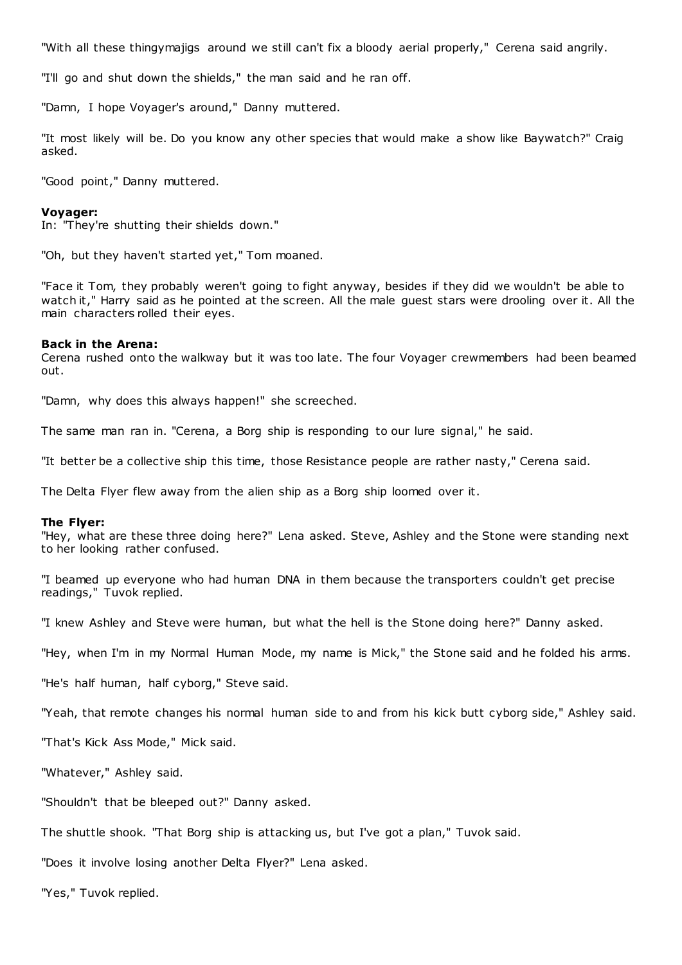"With all these thingymajigs around we still can't fix a bloody aerial properly," Cerena said angrily.

"I'll go and shut down the shields," the man said and he ran off.

"Damn, I hope Voyager's around," Danny muttered.

"It most likely will be. Do you know any other species that would make a show like Baywatch?" Craig asked.

"Good point," Danny muttered.

#### **Voyager:**

In: "They're shutting their shields down."

"Oh, but they haven't started yet," Tom moaned.

"Face it Tom, they probably weren't going to fight anyway, besides if they did we wouldn't be able to watch it," Harry said as he pointed at the screen. All the male guest stars were drooling over it. All the main characters rolled their eyes.

#### **Back in the Arena:**

Cerena rushed onto the walkway but it was too late. The four Voyager crewmembers had been beamed out.

"Damn, why does this always happen!" she screeched.

The same man ran in. "Cerena, a Borg ship is responding to our lure signal," he said.

"It better be a collective ship this time, those Resistance people are rather nasty," Cerena said.

The Delta Flyer flew away from the alien ship as a Borg ship loomed over it.

#### **The Flyer:**

"Hey, what are these three doing here?" Lena asked. Steve, Ashley and the Stone were standing next to her looking rather confused.

"I beamed up everyone who had human DNA in them because the transporters couldn't get precise readings," Tuvok replied.

"I knew Ashley and Steve were human, but what the hell is the Stone doing here?" Danny asked.

"Hey, when I'm in my Normal Human Mode, my name is Mick," the Stone said and he folded his arms.

"He's half human, half cyborg," Steve said.

"Yeah, that remote changes his normal human side to and from his kick butt cyborg side," Ashley said.

"That's Kick Ass Mode," Mick said.

"Whatever," Ashley said.

"Shouldn't that be bleeped out?" Danny asked.

The shuttle shook. "That Borg ship is attacking us, but I've got a plan," Tuvok said.

"Does it involve losing another Delta Flyer?" Lena asked.

"Yes," Tuvok replied.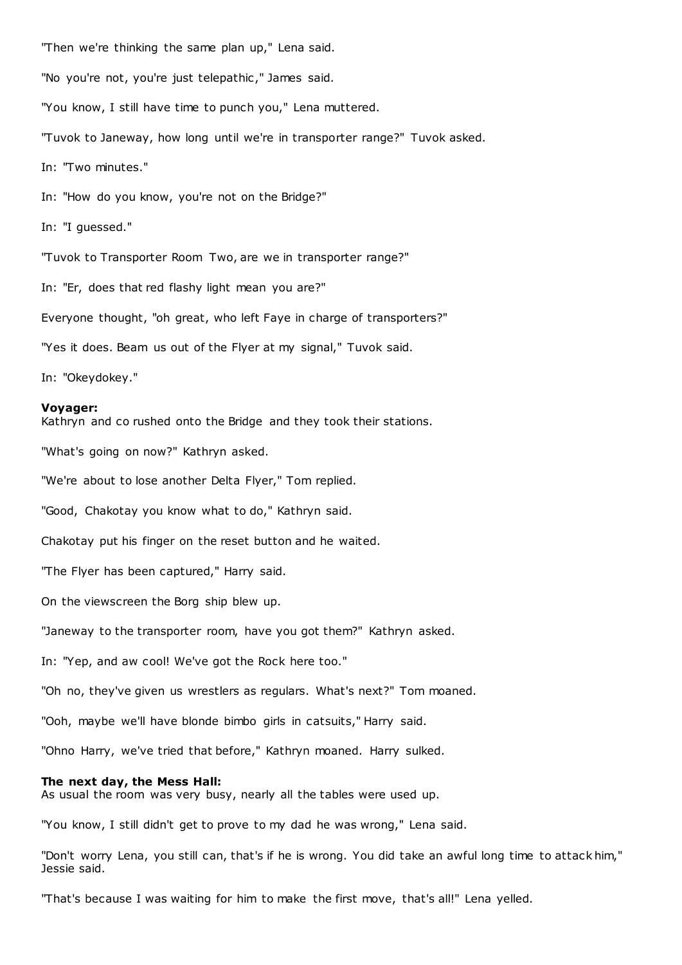"Then we're thinking the same plan up," Lena said.

"No you're not, you're just telepathic ," James said.

"You know, I still have time to punch you," Lena muttered.

"Tuvok to Janeway, how long until we're in transporter range?" Tuvok asked.

In: "Two minutes."

In: "How do you know, you're not on the Bridge?"

In: "I guessed."

"Tuvok to Transporter Room Two, are we in transporter range?"

In: "Er, does that red flashy light mean you are?"

Everyone thought, "oh great, who left Faye in charge of transporters?"

"Yes it does. Beam us out of the Flyer at my signal," Tuvok said.

In: "Okeydokey."

#### **Voyager:**

Kathryn and co rushed onto the Bridge and they took their stations.

"What's going on now?" Kathryn asked.

"We're about to lose another Delta Flyer," Tom replied.

"Good, Chakotay you know what to do," Kathryn said.

Chakotay put his finger on the reset button and he waited.

"The Flyer has been captured," Harry said.

On the viewscreen the Borg ship blew up.

"Janeway to the transporter room, have you got them?" Kathryn asked.

In: "Yep, and aw cool! We've got the Rock here too."

"Oh no, they've given us wrestlers as regulars. What's next?" Tom moaned.

"Ooh, maybe we'll have blonde bimbo girls in catsuits," Harry said.

"Ohno Harry, we've tried that before," Kathryn moaned. Harry sulked.

#### **The next day, the Mess Hall:**

As usual the room was very busy, nearly all the tables were used up.

"You know, I still didn't get to prove to my dad he was wrong," Lena said.

"Don't worry Lena, you still can, that's if he is wrong. You did take an awful long time to attack him," Jessie said.

"That's because I was waiting for him to make the first move, that's all!" Lena yelled.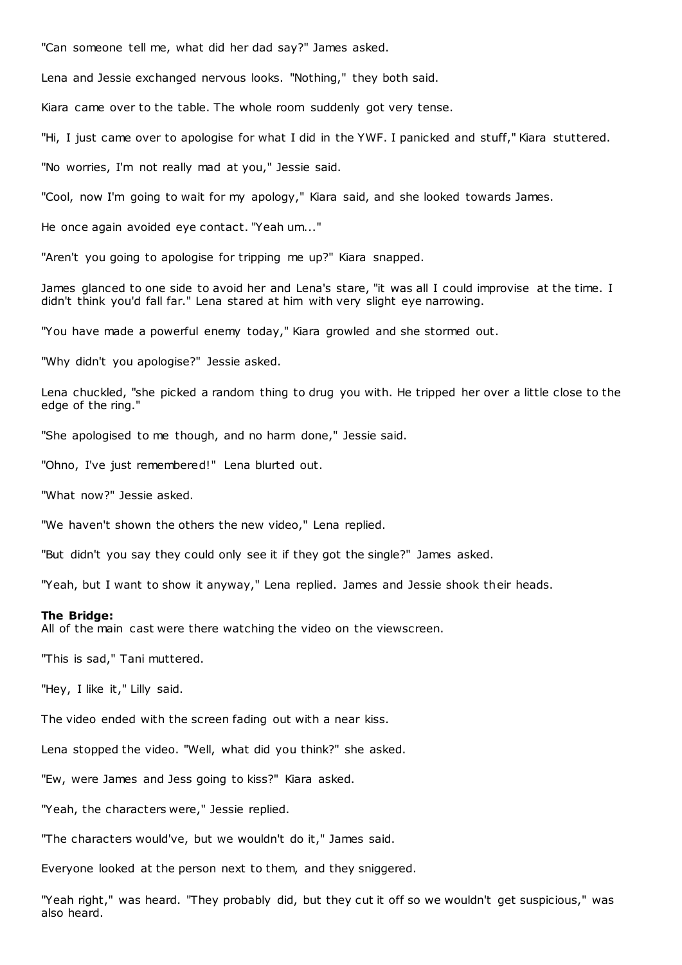"Can someone tell me, what did her dad say?" James asked.

Lena and Jessie exchanged nervous looks. "Nothing," they both said.

Kiara came over to the table. The whole room suddenly got very tense.

"Hi, I just came over to apologise for what I did in the YWF. I panicked and stuff," Kiara stuttered.

"No worries, I'm not really mad at you," Jessie said.

"Cool, now I'm going to wait for my apology," Kiara said, and she looked towards James.

He once again avoided eye contact. "Yeah um..."

"Aren't you going to apologise for tripping me up?" Kiara snapped.

James glanced to one side to avoid her and Lena's stare, "it was all I could improvise at the time. I didn't think you'd fall far." Lena stared at him with very slight eye narrowing.

"You have made a powerful enemy today," Kiara growled and she stormed out.

"Why didn't you apologise?" Jessie asked.

Lena chuckled, "she picked a random thing to drug you with. He tripped her over a little close to the edge of the ring."

"She apologised to me though, and no harm done," Jessie said.

"Ohno, I've just remembered!" Lena blurted out.

"What now?" Jessie asked.

"We haven't shown the others the new video," Lena replied.

"But didn't you say they could only see it if they got the single?" James asked.

"Yeah, but I want to show it anyway," Lena replied. James and Jessie shook their heads.

#### **The Bridge:**

All of the main cast were there watching the video on the viewscreen.

"This is sad," Tani muttered.

"Hey, I like it," Lilly said.

The video ended with the screen fading out with a near kiss.

Lena stopped the video. "Well, what did you think?" she asked.

"Ew, were James and Jess going to kiss?" Kiara asked.

"Yeah, the characters were," Jessie replied.

"The characters would've, but we wouldn't do it," James said.

Everyone looked at the person next to them, and they sniggered.

"Yeah right," was heard. "They probably did, but they cut it off so we wouldn't get suspicious," was also heard.